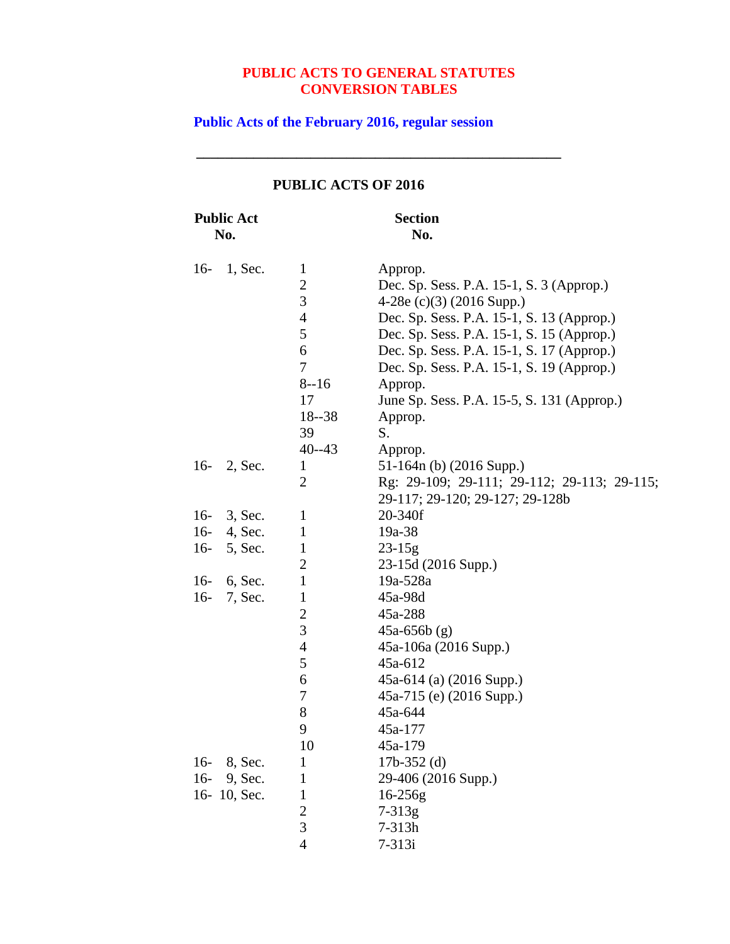**\_\_\_\_\_\_\_\_\_\_\_\_\_\_\_\_\_\_\_\_\_\_\_\_\_\_\_\_\_\_\_\_\_\_\_\_\_\_\_\_\_\_\_\_\_\_\_\_\_\_\_**

# **Public Acts of the February 2016, regular session**

| <b>Public Act</b>  |                                                                                        | <b>Section</b>                                                                                                                                                                                                                                                                                                                |
|--------------------|----------------------------------------------------------------------------------------|-------------------------------------------------------------------------------------------------------------------------------------------------------------------------------------------------------------------------------------------------------------------------------------------------------------------------------|
| No.                |                                                                                        | No.                                                                                                                                                                                                                                                                                                                           |
| $16-$<br>$1,$ Sec. | $\mathbf{1}$<br>$\overline{c}$<br>3<br>$\overline{4}$<br>5<br>6<br>7<br>$8 - 16$<br>17 | Approp.<br>Dec. Sp. Sess. P.A. 15-1, S. 3 (Approp.)<br>4-28e (c)(3) (2016 Supp.)<br>Dec. Sp. Sess. P.A. 15-1, S. 13 (Approp.)<br>Dec. Sp. Sess. P.A. 15-1, S. 15 (Approp.)<br>Dec. Sp. Sess. P.A. 15-1, S. 17 (Approp.)<br>Dec. Sp. Sess. P.A. 15-1, S. 19 (Approp.)<br>Approp.<br>June Sp. Sess. P.A. 15-5, S. 131 (Approp.) |
|                    | $18 - 38$                                                                              | Approp.                                                                                                                                                                                                                                                                                                                       |
|                    | 39<br>$40 - 43$                                                                        | S.<br>Approp.                                                                                                                                                                                                                                                                                                                 |
| $16-$<br>2, Sec.   | $\mathbf{1}$                                                                           | 51-164n (b) (2016 Supp.)                                                                                                                                                                                                                                                                                                      |
|                    | 2                                                                                      | Rg: 29-109; 29-111; 29-112; 29-113; 29-115;<br>29-117; 29-120; 29-127; 29-128b                                                                                                                                                                                                                                                |
| $16-$<br>3, Sec.   | $\mathbf{1}$                                                                           | 20-340f                                                                                                                                                                                                                                                                                                                       |
| $16-$<br>4, Sec.   | $\mathbf{1}$                                                                           | 19a-38                                                                                                                                                                                                                                                                                                                        |
| $16-$<br>5, Sec.   | $\mathbf{1}$                                                                           | $23 - 15g$                                                                                                                                                                                                                                                                                                                    |
|                    | $\overline{2}$                                                                         | 23-15d (2016 Supp.)                                                                                                                                                                                                                                                                                                           |
| $16-$<br>6, Sec.   | $\mathbf{1}$                                                                           | 19a-528a                                                                                                                                                                                                                                                                                                                      |
| $16-$<br>7, Sec.   | $\mathbf{1}$                                                                           | 45a-98d                                                                                                                                                                                                                                                                                                                       |
|                    | $\overline{c}$                                                                         | 45a-288                                                                                                                                                                                                                                                                                                                       |
|                    | 3                                                                                      | $45a-656b$ (g)                                                                                                                                                                                                                                                                                                                |
|                    | $\overline{4}$                                                                         | 45a-106a (2016 Supp.)                                                                                                                                                                                                                                                                                                         |
|                    | 5                                                                                      | 45a-612                                                                                                                                                                                                                                                                                                                       |
|                    | 6                                                                                      | $45a-614$ (a) (2016 Supp.)                                                                                                                                                                                                                                                                                                    |
|                    | 7                                                                                      | 45a-715 (e) (2016 Supp.)                                                                                                                                                                                                                                                                                                      |
|                    | 8                                                                                      | 45a-644                                                                                                                                                                                                                                                                                                                       |
|                    | 9                                                                                      | 45a-177                                                                                                                                                                                                                                                                                                                       |
|                    | 10                                                                                     | 45a-179                                                                                                                                                                                                                                                                                                                       |
| $16-$<br>8, Sec.   | 1                                                                                      | $17b-352$ (d)                                                                                                                                                                                                                                                                                                                 |
| $16-$<br>9, Sec.   | $\mathbf{1}$                                                                           | 29-406 (2016 Supp.)                                                                                                                                                                                                                                                                                                           |
| 16-10, Sec.        | $\mathbf{1}$                                                                           | $16 - 256g$                                                                                                                                                                                                                                                                                                                   |
|                    | $\overline{c}$                                                                         | $7 - 313g$                                                                                                                                                                                                                                                                                                                    |
|                    | 3                                                                                      | 7-313h                                                                                                                                                                                                                                                                                                                        |
|                    | $\overline{4}$                                                                         | $7 - 313i$                                                                                                                                                                                                                                                                                                                    |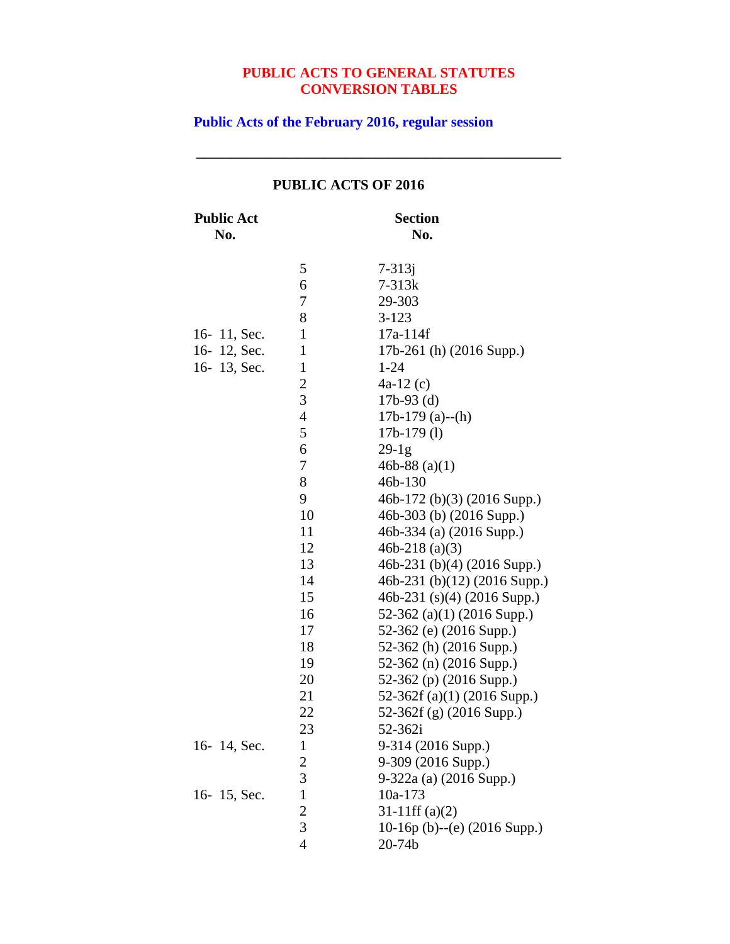**\_\_\_\_\_\_\_\_\_\_\_\_\_\_\_\_\_\_\_\_\_\_\_\_\_\_\_\_\_\_\_\_\_\_\_\_\_\_\_\_\_\_\_\_\_\_\_\_\_\_\_**

**Public Acts of the February 2016, regular session**

| <b>Public Act</b><br>No. |                | <b>Section</b><br>No.        |
|--------------------------|----------------|------------------------------|
|                          | 5              | $7 - 313j$                   |
|                          | 6              | $7 - 313k$                   |
|                          | 7              | 29-303                       |
|                          | 8              | $3 - 123$                    |
| 16-11, Sec.              | $\mathbf{1}$   | 17a-114f                     |
| 16-12, Sec.              | $\mathbf{1}$   | 17b-261 (h) (2016 Supp.)     |
| 16-13, Sec.              | $\mathbf{1}$   | $1 - 24$                     |
|                          | $\overline{c}$ | $4a-12(c)$                   |
|                          | 3              | $17b-93$ (d)                 |
|                          | $\overline{4}$ | $17b-179$ (a)--(h)           |
|                          | 5              | $17b-179$ (1)                |
|                          | 6              | $29-1g$                      |
|                          | 7              | 46b-88 $(a)(1)$              |
|                          | 8              | 46b-130                      |
|                          | 9              | 46b-172 (b)(3) (2016 Supp.)  |
|                          | 10             | 46b-303 (b) (2016 Supp.)     |
|                          | 11             | 46b-334 (a) (2016 Supp.)     |
|                          | 12             | 46b-218 $(a)(3)$             |
|                          | 13             | 46b-231 (b)(4) (2016 Supp.)  |
|                          | 14             | 46b-231 (b)(12) (2016 Supp.) |
|                          | 15             | 46b-231 (s)(4) (2016 Supp.)  |
|                          | 16             | 52-362 (a)(1) (2016 Supp.)   |
|                          | 17             | 52-362 (e) (2016 Supp.)      |
|                          | 18             | 52-362 (h) (2016 Supp.)      |
|                          | 19             | 52-362 (n) (2016 Supp.)      |
|                          | 20             | 52-362 (p) (2016 Supp.)      |
|                          | 21             | 52-362f (a)(1) (2016 Supp.)  |
|                          | 22             | 52-362f (g) (2016 Supp.)     |
|                          | 23             | 52-362i                      |
| 16-14, Sec.              | 1              | 9-314 (2016 Supp.)           |
|                          | $\overline{c}$ | 9-309 (2016 Supp.)           |
|                          | 3              | 9-322a (a) (2016 Supp.)      |
| 16-15, Sec.              | $\mathbf{1}$   | 10a-173                      |
|                          | $\overline{c}$ | $31-11$ ff $(a)(2)$          |
|                          | 3              | 10-16p (b)--(e) (2016 Supp.) |
|                          | $\overline{4}$ | 20-74b                       |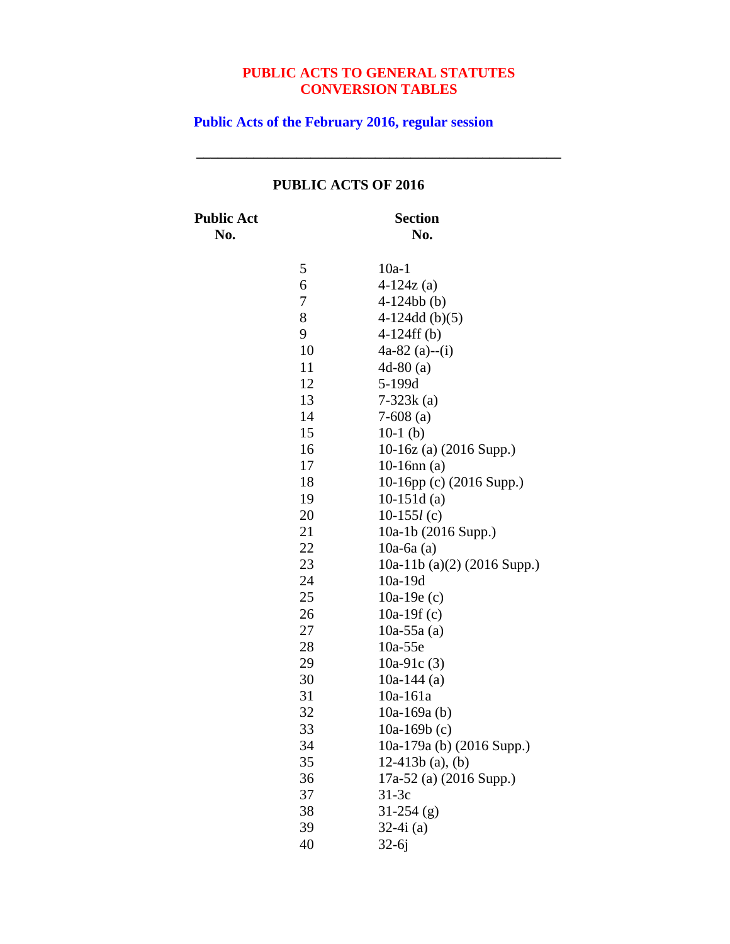**\_\_\_\_\_\_\_\_\_\_\_\_\_\_\_\_\_\_\_\_\_\_\_\_\_\_\_\_\_\_\_\_\_\_\_\_\_\_\_\_\_\_\_\_\_\_\_\_\_\_\_**

**Public Acts of the February 2016, regular session**

## **Public Act Section No. No.** 10a-1 6  $4-124z$  (a) 4-124bb (b) 4-124dd (b)(5) 4-124ff (b) 4a-82 (a)--(i) 4d-80 (a) 5-199d 7-323k (a) 7-608 (a) 10-1 (b) 10-16z (a) (2016 Supp.) 10-16nn (a) 10-16pp (c) (2016 Supp.) 10-151d (a) 10-155*l* (c) 10a-1b (2016 Supp.) 10a-6a (a) 10a-11b (a)(2) (2016 Supp.) 10a-19d 10a-19e (c) 10a-19f (c) 10a-55a (a) 10a-55e 10a-91c (3) 10a-144 (a) 10a-161a 10a-169a (b) 10a-169b (c) 10a-179a (b) (2016 Supp.) 12-413b (a), (b) 17a-52 (a) (2016 Supp.) 31-3c 31-254 (g) 32-4i (a) 32-6j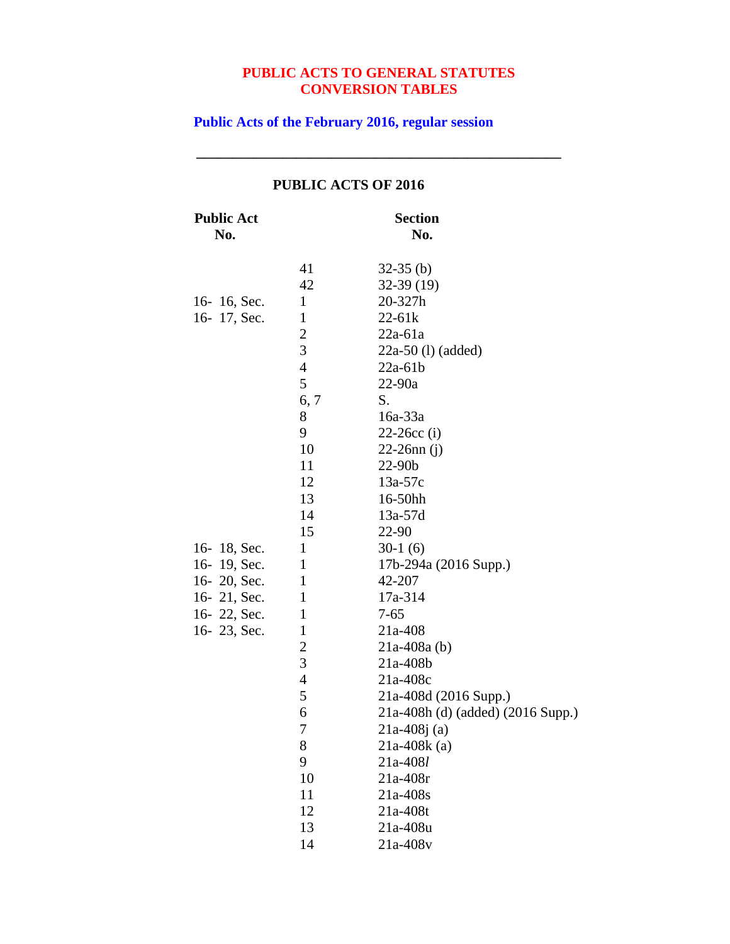**\_\_\_\_\_\_\_\_\_\_\_\_\_\_\_\_\_\_\_\_\_\_\_\_\_\_\_\_\_\_\_\_\_\_\_\_\_\_\_\_\_\_\_\_\_\_\_\_\_\_\_**

**Public Acts of the February 2016, regular session**

| <b>Public Act</b><br>No. |                | <b>Section</b><br>No.             |
|--------------------------|----------------|-----------------------------------|
|                          | 41             | $32-35$ (b)                       |
|                          | 42             | $32-39(19)$                       |
| 16-16, Sec.              | $\mathbf{1}$   | 20-327h                           |
| 16-17, Sec.              | $\mathbf{1}$   | $22 - 61k$                        |
|                          | $\frac{2}{3}$  | $22a-61a$                         |
|                          |                | $22a-50$ (1) (added)              |
|                          | $\overline{4}$ | $22a-61b$                         |
|                          | 5              | $22 - 90a$                        |
|                          | 6, 7           | S.                                |
|                          | 8              | 16a-33a                           |
|                          | 9              | $22 - 26$ cc (i)                  |
|                          | 10             | $22-26nn(i)$                      |
|                          | 11             | 22-90b                            |
|                          | 12             | $13a-57c$                         |
|                          | 13             | 16-50hh                           |
|                          | 14             | 13a-57d                           |
|                          | 15             | 22-90                             |
| 16-18, Sec.              | $\mathbf{1}$   | $30-1(6)$                         |
| 16-19, Sec.              | $\mathbf{1}$   | 17b-294a (2016 Supp.)             |
| 16-20, Sec.              | $\mathbf{1}$   | 42-207                            |
| 16- $21$ , Sec.          | $\mathbf{1}$   | 17a-314                           |
| 16-22, Sec.              | $\mathbf{1}$   | $7 - 65$                          |
| 16-23, Sec.              | $\mathbf{1}$   | 21a-408                           |
|                          | $\overline{c}$ | $21a-408a$ (b)                    |
|                          | 3              | 21a-408b                          |
|                          | $\overline{4}$ | $21a-408c$                        |
|                          | 5              | 21a-408d (2016 Supp.)             |
|                          | 6              | 21a-408h (d) (added) (2016 Supp.) |
|                          | $\overline{7}$ | $21a-408j(a)$                     |
|                          | 8              | $21a-408k$ (a)                    |
|                          | 9              | 21a-408l                          |
|                          | 10             | $21a-408r$                        |
|                          | 11             | 21a-408s                          |
|                          | 12             | 21a-408t                          |
|                          | 13             | 21a-408u                          |
|                          | 14             | 21a-408v                          |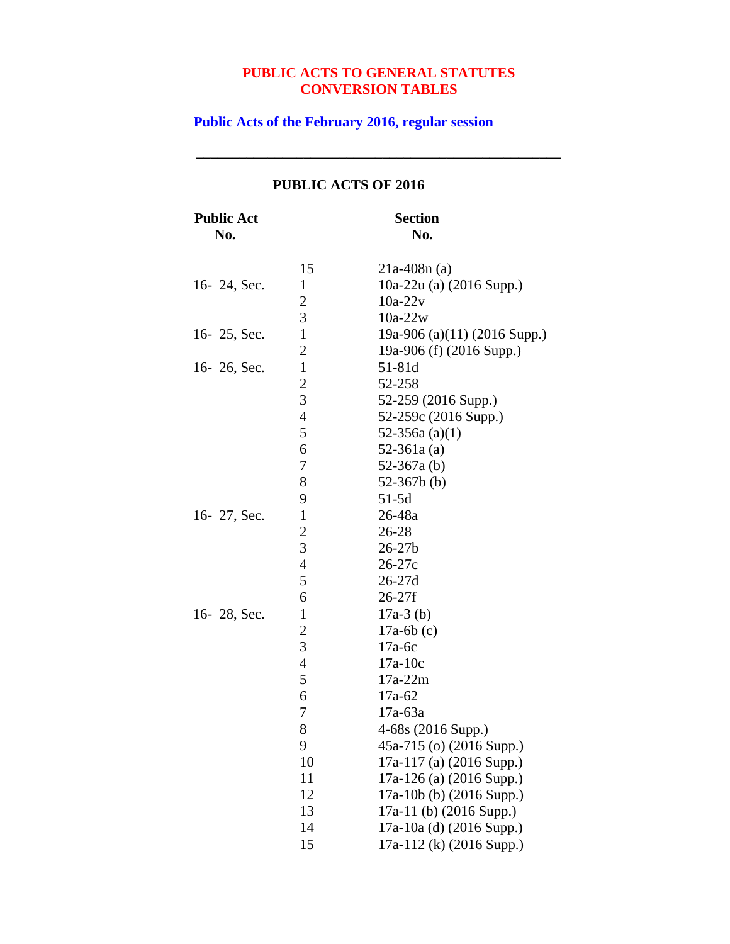**\_\_\_\_\_\_\_\_\_\_\_\_\_\_\_\_\_\_\_\_\_\_\_\_\_\_\_\_\_\_\_\_\_\_\_\_\_\_\_\_\_\_\_\_\_\_\_\_\_\_\_**

#### **Public Acts of the February 2016, regular session**

### **Public Act Section No. No.** 15 21a-408n (a) 16- 24, Sec. 1 10a-22u (a) (2016 Supp.) 2 10a-22v 3 10a-22w 16- 25, Sec. 1 19a-906 (a)(11) (2016 Supp.) 2 19a-906 (f) (2016 Supp.) 16- 26, Sec. 1 51-81d 2 52-258 3 52-259 (2016 Supp.) 4 52-259c (2016 Supp.) 5  $52-356a (a)(1)$ 6 52-361a (a) 7 52-367a (b) 8 52-367b (b) 9 51-5d 16- 27, Sec. 1 26-48a 2<br>3<br>26-27  $26 - 27b$ 4 26-27c 5 26-27d 6 26-27f 16- 28, Sec. 1 17a-3 (b)<br>2 17a-6b (c)  $17a-6b$  (c) 3 17a-6c 4 17a-10c<br>5 17a-22m  $17a-22m$ 6 17a-62 7 17a-63a 8 4-68s (2016 Supp.) 9 45a-715 (o) (2016 Supp.) 10 17a-117 (a) (2016 Supp.) 11 17a-126 (a) (2016 Supp.) 12 17a-10b (b) (2016 Supp.) 13 17a-11 (b) (2016 Supp.) 14 17a-10a (d) (2016 Supp.)

15 17a-112 (k) (2016 Supp.)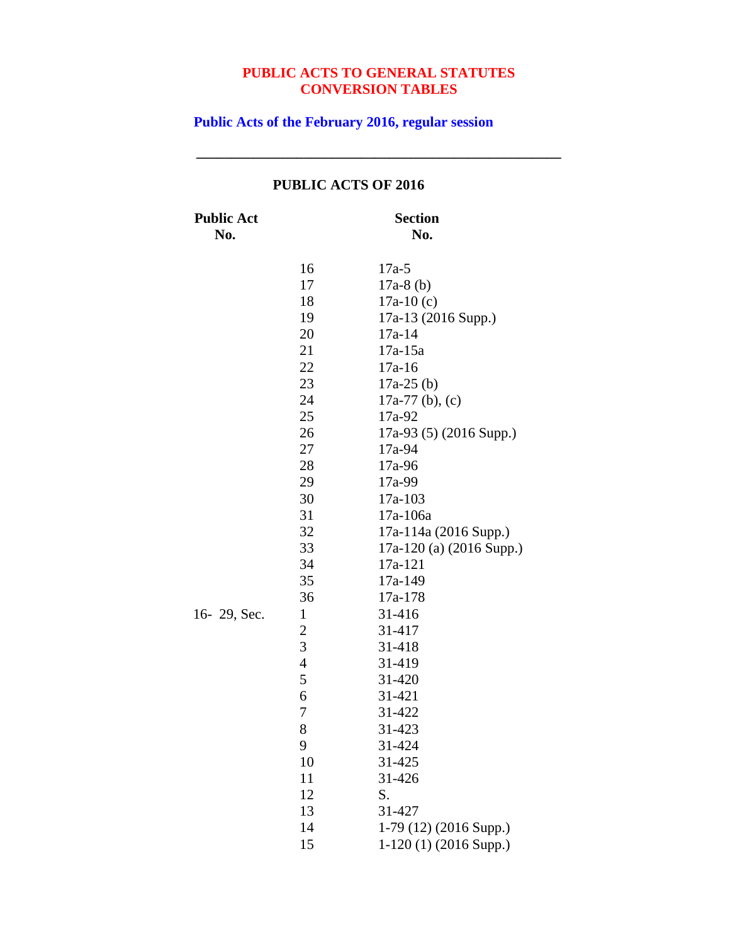**\_\_\_\_\_\_\_\_\_\_\_\_\_\_\_\_\_\_\_\_\_\_\_\_\_\_\_\_\_\_\_\_\_\_\_\_\_\_\_\_\_\_\_\_\_\_\_\_\_\_\_**

**Public Acts of the February 2016, regular session**

| <b>Public Act</b><br>No. |                | <b>Section</b><br>No.    |
|--------------------------|----------------|--------------------------|
|                          | 16             | $17a-5$                  |
|                          | 17             | $17a-8$ (b)              |
|                          | 18             | $17a-10(c)$              |
|                          | 19             | 17a-13 (2016 Supp.)      |
|                          | 20             | $17a-14$                 |
|                          | 21             | $17a-15a$                |
|                          | 22             | $17a-16$                 |
|                          | 23             | $17a-25$ (b)             |
|                          | 24             | $17a-77$ (b), (c)        |
|                          | 25             | 17a-92                   |
|                          | 26             | 17a-93 (5) (2016 Supp.)  |
|                          | 27             | 17a-94                   |
|                          | 28             | 17a-96                   |
|                          | 29             | 17a-99                   |
|                          | 30             | 17a-103                  |
|                          | 31             | 17a-106a                 |
|                          | 32             | 17a-114a (2016 Supp.)    |
|                          | 33             | 17a-120 (a) (2016 Supp.) |
|                          | 34             | 17a-121                  |
|                          | 35             | 17a-149                  |
|                          | 36             | 17a-178                  |
| 16-29, Sec.              | $\mathbf{1}$   | 31-416                   |
|                          | $\overline{c}$ | 31-417                   |
|                          | 3              | 31-418                   |
|                          | $\overline{4}$ | 31-419                   |
|                          | 5              | 31-420                   |
|                          | 6              | 31-421                   |
|                          | 7              | 31-422                   |
|                          | 8              | 31-423                   |
|                          | 9              | 31-424                   |
|                          | 10             | 31-425                   |
|                          | 11             | 31-426                   |
|                          | 12             | S.                       |
|                          | 13             | 31-427                   |
|                          | 14             | $1-79(12)(2016 Supp.)$   |
|                          | 15             | $1-120(1)(2016$ Supp.)   |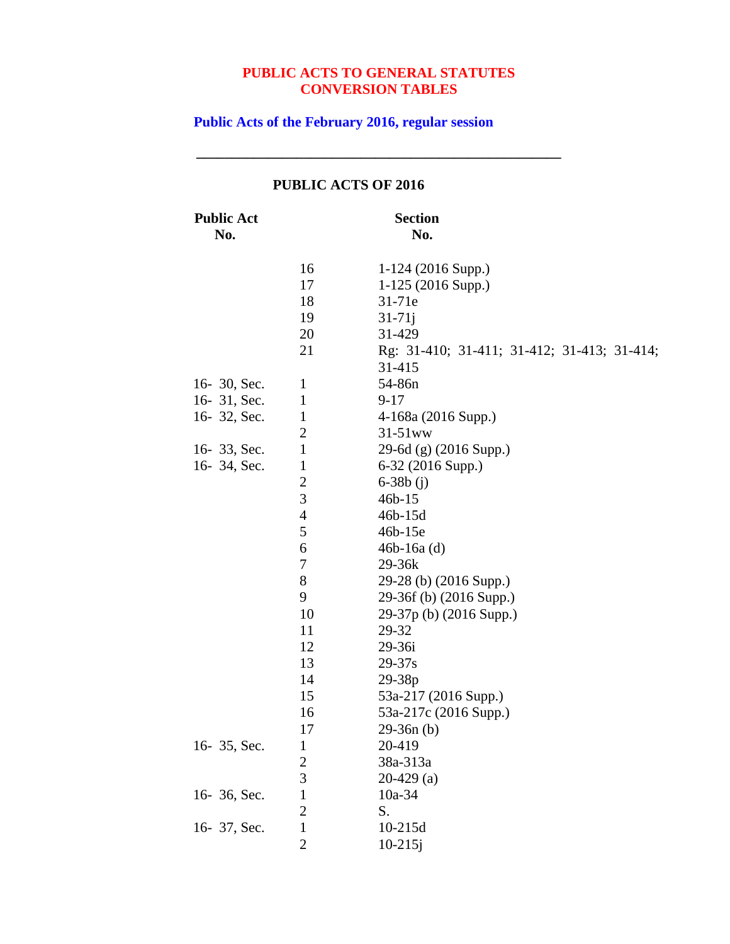**\_\_\_\_\_\_\_\_\_\_\_\_\_\_\_\_\_\_\_\_\_\_\_\_\_\_\_\_\_\_\_\_\_\_\_\_\_\_\_\_\_\_\_\_\_\_\_\_\_\_\_**

# **Public Acts of the February 2016, regular session**

| <b>Public Act</b><br>No. |                  | <b>Section</b><br>No.                       |
|--------------------------|------------------|---------------------------------------------|
|                          |                  |                                             |
|                          | 16               | $1-124$ (2016 Supp.)                        |
|                          | 17               | $1-125$ (2016 Supp.)                        |
|                          | 18               | 31-71e                                      |
|                          | 19               | $31 - 71j$                                  |
|                          | 20               | 31-429                                      |
|                          | 21               | Rg: 31-410; 31-411; 31-412; 31-413; 31-414; |
|                          |                  | 31-415                                      |
| 16-30, Sec.              | $\mathbf{1}$     | 54-86n                                      |
| 16-31, Sec.              | $\mathbf{1}$     | $9 - 17$                                    |
| 16-32, Sec.              | $\mathbf{1}$     | 4-168a (2016 Supp.)                         |
|                          | $\boldsymbol{2}$ | $31-51$ ww                                  |
| 16-33, Sec.              | $\mathbf{1}$     | 29-6d (g) (2016 Supp.)                      |
| 16-34, Sec.              | $\mathbf{1}$     | 6-32 (2016 Supp.)                           |
|                          | $\boldsymbol{2}$ | $6 - 38b$ (j)                               |
|                          | 3                | $46b - 15$                                  |
|                          | 4                | 46b-15d                                     |
|                          | 5                | 46b-15e                                     |
|                          | 6                | $46b-16a$ (d)                               |
|                          | 7                | 29-36k                                      |
|                          | $8\,$            | 29-28 (b) (2016 Supp.)                      |
|                          | 9                | 29-36f (b) (2016 Supp.)                     |
|                          | 10               | 29-37p (b) (2016 Supp.)                     |
|                          | 11               | 29-32                                       |
|                          | 12               | 29-36i                                      |
|                          | 13               | $29 - 37s$                                  |
|                          | 14               | 29-38p                                      |
|                          | 15               | 53a-217 (2016 Supp.)                        |
|                          | 16               | 53a-217c (2016 Supp.)                       |
|                          | 17               | $29-36n(b)$                                 |
| 16-35, Sec.              | $\mathbf{1}$     | 20-419                                      |
|                          |                  | 38a-313a                                    |
|                          | $\frac{2}{3}$    | $20-429$ (a)                                |
| 16- 36, Sec.             | $\mathbf{1}$     | 10a-34                                      |
|                          | $\overline{2}$   | S.                                          |
| 16-37, Sec.              | $\mathbf 1$      | 10-215d                                     |
|                          | $\overline{2}$   | $10 - 215j$                                 |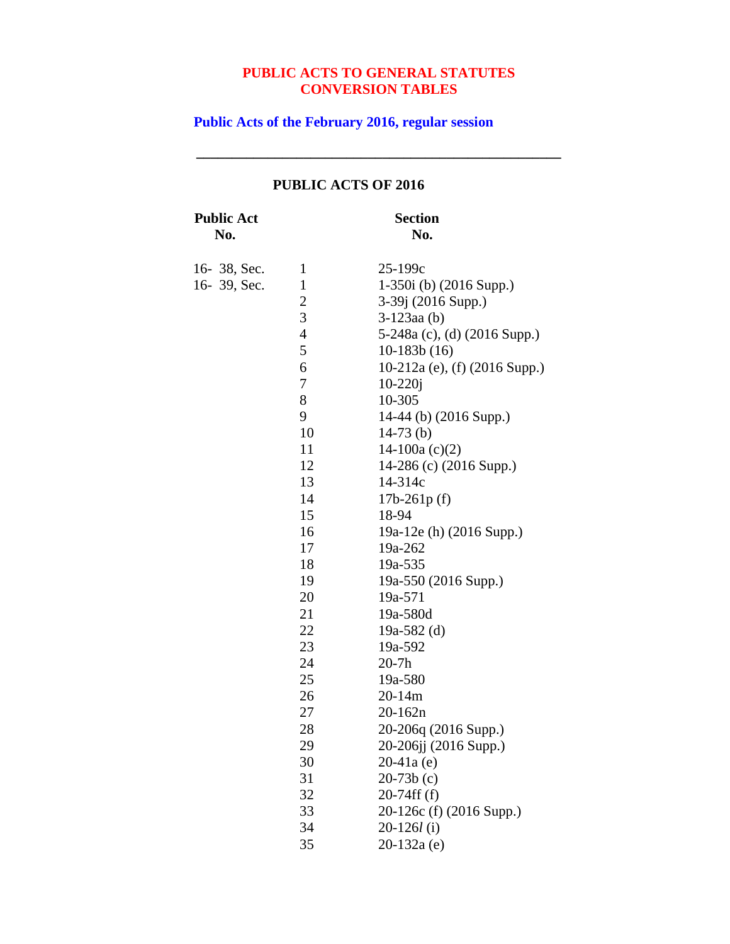**\_\_\_\_\_\_\_\_\_\_\_\_\_\_\_\_\_\_\_\_\_\_\_\_\_\_\_\_\_\_\_\_\_\_\_\_\_\_\_\_\_\_\_\_\_\_\_\_\_\_\_**

# **Public Acts of the February 2016, regular session**

| <b>Public Act</b> |                | <b>Section</b>                |
|-------------------|----------------|-------------------------------|
| No.               |                | No.                           |
| 16-38, Sec.       | 1              | $25 - 199c$                   |
| 16-39, Sec.       | $\mathbf{1}$   | $1-350i$ (b) $(2016$ Supp.)   |
|                   | $\overline{c}$ | 3-39j (2016 Supp.)            |
|                   | 3              | $3-123$ aa $(b)$              |
|                   | $\overline{4}$ | 5-248a (c), (d) (2016 Supp.)  |
|                   | 5              | $10-183b(16)$                 |
|                   | 6              | 10-212a (e), (f) (2016 Supp.) |
|                   | 7              | $10 - 220j$                   |
|                   | 8              | 10-305                        |
|                   | 9              | 14-44 (b) (2016 Supp.)        |
|                   | 10             | $14-73$ (b)                   |
|                   | 11             | 14-100a $(c)(2)$              |
|                   | 12             | 14-286 (c) (2016 Supp.)       |
|                   | 13             | 14-314c                       |
|                   | 14             | $17b-261p(f)$                 |
|                   | 15             | 18-94                         |
|                   | 16             | 19a-12e (h) (2016 Supp.)      |
|                   | 17             | 19a-262                       |
|                   | 18             | 19a-535                       |
|                   | 19             | 19a-550 (2016 Supp.)          |
|                   | 20             | 19a-571                       |
|                   | 21             | 19a-580d                      |
|                   | 22             | 19a-582 $(d)$                 |
|                   | 23             | 19a-592                       |
|                   | 24             | $20-7h$                       |
|                   | 25             | 19a-580                       |
|                   | 26             | $20 - 14m$                    |
|                   | 27             | $20 - 162n$                   |
|                   | 28             | 20-206q (2016 Supp.)          |
|                   | 29             | 20-206jj (2016 Supp.)         |
|                   | 30             | $20-41a(e)$                   |
|                   | 31             | $20-73b(c)$                   |
|                   | 32             | $20-74ff(f)$                  |
|                   | 33             | 20-126c (f) (2016 Supp.)      |
|                   | 34             | $20-126l$ (i)                 |
|                   | 35             | $20-132a(e)$                  |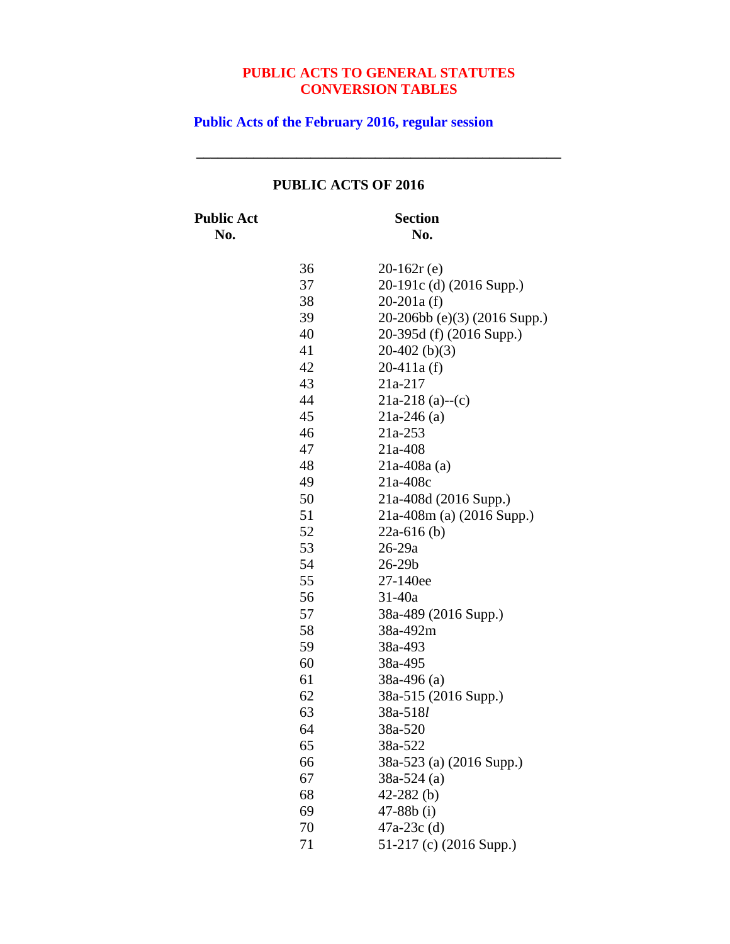**\_\_\_\_\_\_\_\_\_\_\_\_\_\_\_\_\_\_\_\_\_\_\_\_\_\_\_\_\_\_\_\_\_\_\_\_\_\_\_\_\_\_\_\_\_\_\_\_\_\_\_**

**Public Acts of the February 2016, regular session**

# **PUBLIC ACTS OF 2016**

**Public Act Section**

**No. No.**

| 36 | $20-162r(e)$                 |
|----|------------------------------|
| 37 | 20-191c (d) (2016 Supp.)     |
| 38 | $20-201a(f)$                 |
| 39 | 20-206bb (e)(3) (2016 Supp.) |
| 40 | 20-395d (f) (2016 Supp.)     |
| 41 | $20-402$ (b)(3)              |
| 42 | $20-411a(f)$                 |
| 43 | 21a-217                      |
| 44 | 21a-218 (a)--(c)             |
| 45 | $21a-246(a)$                 |
| 46 | 21a-253                      |
| 47 | $21a-408$                    |
| 48 | $21a-408a$ (a)               |
| 49 | 21a-408c                     |
| 50 | 21a-408d (2016 Supp.)        |
| 51 | 21a-408m (a) (2016 Supp.)    |
| 52 | $22a-616$ (b)                |
| 53 | 26-29a                       |
| 54 | 26-29b                       |
| 55 | 27-140ee                     |
| 56 | 31-40a                       |
| 57 | 38a-489 (2016 Supp.)         |
| 58 | 38a-492m                     |
| 59 | 38a-493                      |
| 60 | 38a-495                      |
| 61 | $38a-496$ (a)                |
| 62 | 38a-515 (2016 Supp.)         |
| 63 | 38a-518l                     |
| 64 | 38a-520                      |
| 65 | 38a-522                      |
| 66 | 38a-523 (a) (2016 Supp.)     |
| 67 | $38a-524$ (a)                |
| 68 | 42-282 $(b)$                 |
| 69 | $47 - 88b$ (i)               |
| 70 | 47a-23c (d)                  |
| 71 | 51-217 (c) (2016 Supp.)      |
|    |                              |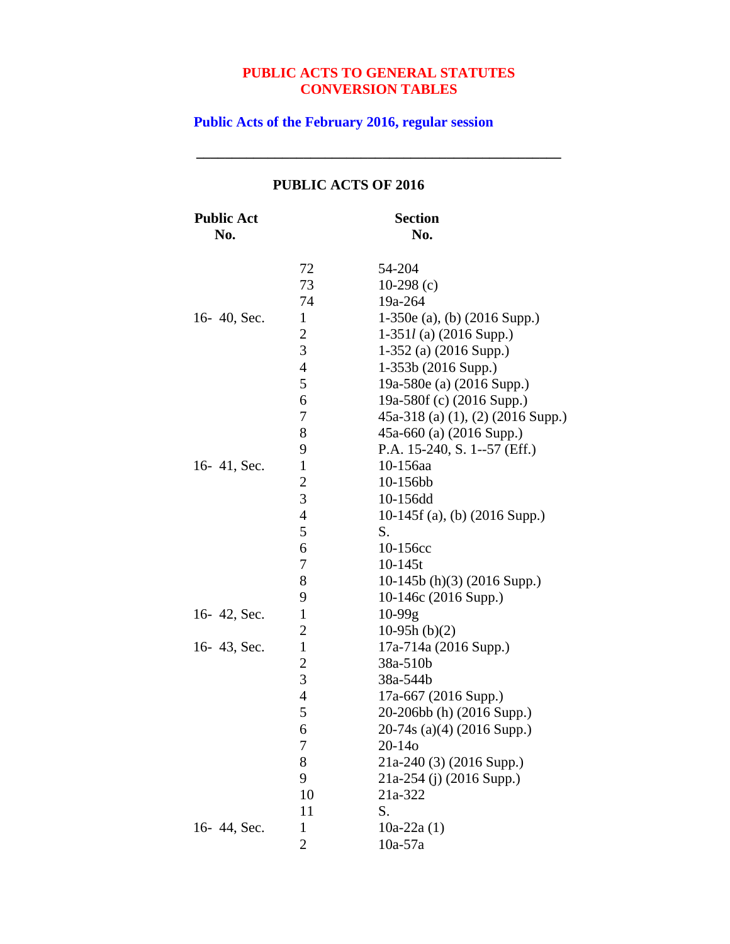**\_\_\_\_\_\_\_\_\_\_\_\_\_\_\_\_\_\_\_\_\_\_\_\_\_\_\_\_\_\_\_\_\_\_\_\_\_\_\_\_\_\_\_\_\_\_\_\_\_\_\_**

**Public Acts of the February 2016, regular session**

| <b>Public Act</b><br>No. |                  | <b>Section</b><br>No.               |
|--------------------------|------------------|-------------------------------------|
|                          |                  |                                     |
|                          | 72               | 54-204                              |
|                          | 73               | 10-298 $(c)$                        |
|                          | 74               | 19a-264                             |
| 16-40, Sec.              | $\mathbf{1}$     | 1-350e (a), (b) (2016 Supp.)        |
|                          | $\overline{c}$   | $1-351l$ (a) (2016 Supp.)           |
|                          | $\overline{3}$   | $1-352$ (a) (2016 Supp.)            |
|                          | $\overline{4}$   | $1-353b(2016 Supp.)$                |
|                          | 5                | 19a-580e (a) (2016 Supp.)           |
|                          | 6                | 19a-580f (c) (2016 Supp.)           |
|                          | 7                | $45a-318$ (a) (1), (2) (2016 Supp.) |
|                          | 8                | 45a-660 (a) (2016 Supp.)            |
|                          | 9                | P.A. 15-240, S. 1--57 (Eff.)        |
| 16-41, Sec.              | $\mathbf{1}$     | 10-156aa                            |
|                          | $\overline{c}$   | 10-156bb                            |
|                          | 3                | 10-156dd                            |
|                          | $\overline{4}$   | 10-145f (a), (b) $(2016$ Supp.)     |
|                          | 5                | S.                                  |
|                          | 6                | 10-156cc                            |
|                          | $\boldsymbol{7}$ | $10-145t$                           |
|                          | 8                | 10-145b (h)(3) (2016 Supp.)         |
|                          | 9                | 10-146c (2016 Supp.)                |
| 16-42, Sec.              | $\mathbf{1}$     | $10-99g$                            |
|                          | $\overline{2}$   | $10-95h (b)(2)$                     |
| 16-43, Sec.              | $\mathbf{1}$     | 17a-714a (2016 Supp.)               |
|                          | $\overline{c}$   | 38a-510b                            |
|                          | 3                | 38a-544b                            |
|                          | $\overline{4}$   | 17a-667 (2016 Supp.)                |
|                          | 5                | 20-206bb (h) (2016 Supp.)           |
|                          | 6                | 20-74s (a)(4) (2016 Supp.)          |
|                          | $\sqrt{ }$       | 20-14 <sub>o</sub>                  |
|                          | 8                | 21a-240 (3) (2016 Supp.)            |
|                          | 9                | $21a-254$ (j) (2016 Supp.)          |
|                          | 10               | 21a-322                             |
|                          | 11               | S.                                  |
| 16-44, Sec.              | 1                | $10a-22a(1)$                        |
|                          | $\overline{2}$   | $10a-57a$                           |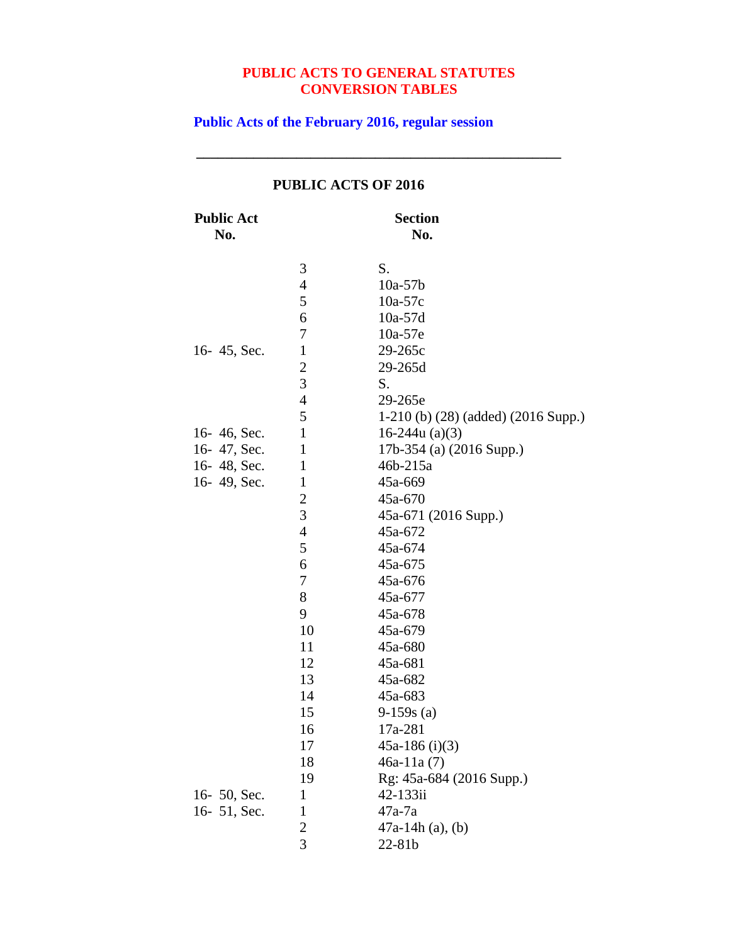**\_\_\_\_\_\_\_\_\_\_\_\_\_\_\_\_\_\_\_\_\_\_\_\_\_\_\_\_\_\_\_\_\_\_\_\_\_\_\_\_\_\_\_\_\_\_\_\_\_\_\_**

**Public Acts of the February 2016, regular session**

| <b>Public Act</b><br>No. |                | <b>Section</b><br>No.               |
|--------------------------|----------------|-------------------------------------|
|                          | 3              | S.                                  |
|                          | $\overline{4}$ | $10a-57b$                           |
|                          | 5              | $10a-57c$                           |
|                          | 6              | $10a-57d$                           |
|                          | 7              | 10a-57e                             |
| 16-45, Sec.              | $\mathbf{1}$   | 29-265c                             |
|                          | $\overline{c}$ | 29-265d                             |
|                          | 3              | S.                                  |
|                          | $\overline{4}$ | 29-265e                             |
|                          | 5              | 1-210 (b) (28) (added) (2016 Supp.) |
| 16-46, Sec.              | $\mathbf{1}$   | 16-244 $u(a)(3)$                    |
| 16-47, Sec.              | $\mathbf{1}$   | 17b-354 (a) (2016 Supp.)            |
| 16-48, Sec.              | $\mathbf{1}$   | 46b-215a                            |
| 16-49, Sec.              | $\mathbf{1}$   | 45a-669                             |
|                          | $\overline{c}$ | 45a-670                             |
|                          | 3              | 45a-671 (2016 Supp.)                |
|                          | $\overline{4}$ | 45a-672                             |
|                          | 5              | 45a-674                             |
|                          | 6              | 45a-675                             |
|                          | $\sqrt{ }$     | 45a-676                             |
|                          | 8              | 45a-677                             |
|                          | 9              | 45a-678                             |
|                          | 10             | 45a-679                             |
|                          | 11             | 45a-680                             |
|                          | 12             | 45a-681                             |
|                          | 13             | 45a-682                             |
|                          | 14             | 45a-683                             |
|                          | 15             | $9-159s(a)$                         |
|                          | 16             | 17a-281                             |
|                          | 17             | 45a-186 $(i)(3)$                    |
|                          | 18             | $46a-11a(7)$                        |
|                          | 19             | Rg: 45a-684 (2016 Supp.)            |
| 16- 50, Sec.             | $\mathbf{1}$   | 42-133ii                            |
| 16-51, Sec.              | $\mathbf 1$    | $47a-7a$                            |
|                          | $\overline{c}$ | $47a-14h(a)$ , (b)                  |
|                          | $\overline{3}$ | 22-81b                              |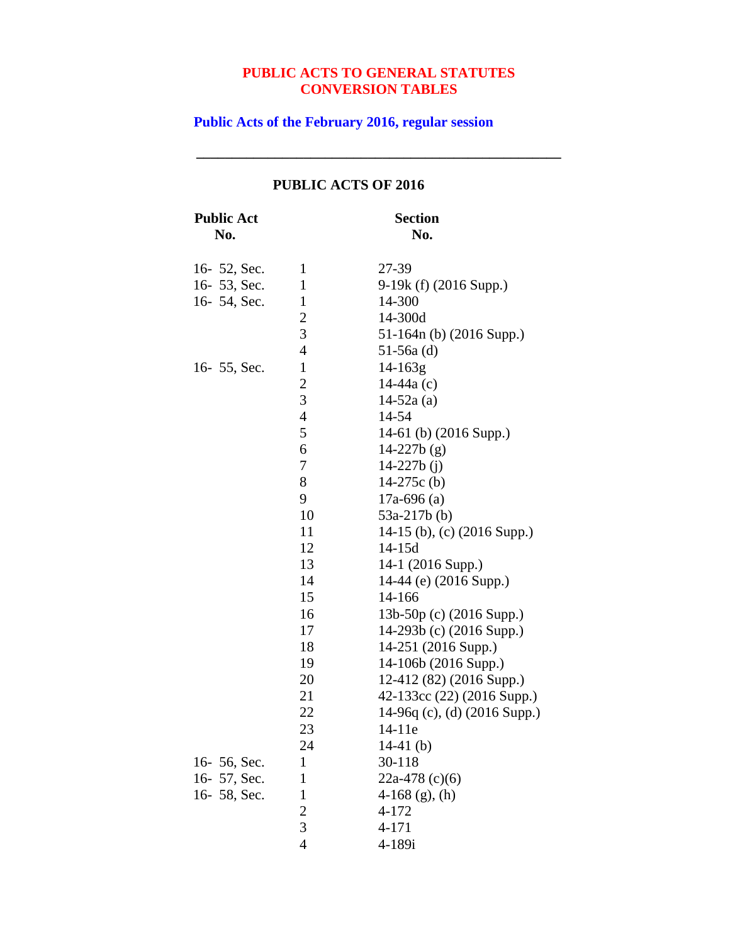**\_\_\_\_\_\_\_\_\_\_\_\_\_\_\_\_\_\_\_\_\_\_\_\_\_\_\_\_\_\_\_\_\_\_\_\_\_\_\_\_\_\_\_\_\_\_\_\_\_\_\_**

# **Public Acts of the February 2016, regular session**

| <b>Public Act</b> |                         | <b>Section</b>               |
|-------------------|-------------------------|------------------------------|
| No.               |                         | No.                          |
| 16- 52, Sec.      | $\mathbf{1}$            | 27-39                        |
| 16-53, Sec.       | $\mathbf{1}$            | 9-19k (f) (2016 Supp.)       |
| 16-54, Sec.       | $\mathbf{1}$            | 14-300                       |
|                   | $\overline{\mathbf{c}}$ | 14-300d                      |
|                   | 3                       | 51-164n (b) (2016 Supp.)     |
|                   | $\overline{4}$          | $51-56a$ (d)                 |
| 16 - 55, Sec.     | $\mathbf{1}$            | $14 - 163g$                  |
|                   | $\overline{c}$          | $14-44a(c)$                  |
|                   | 3                       | $14-52a(a)$                  |
|                   | $\overline{4}$          | 14-54                        |
|                   | 5                       | 14-61 (b) (2016 Supp.)       |
|                   | 6                       | $14-227b(g)$                 |
|                   | 7                       | $14 - 227b$ (j)              |
|                   | 8                       | 14-275 $c$ (b)               |
|                   | 9                       | $17a-696$ (a)                |
|                   | 10                      | $53a-217b$ (b)               |
|                   | 11                      | 14-15 (b), (c) (2016 Supp.)  |
|                   | 12                      | $14 - 15d$                   |
|                   | 13                      | 14-1 (2016 Supp.)            |
|                   | 14                      | 14-44 (e) (2016 Supp.)       |
|                   | 15                      | 14-166                       |
|                   | 16                      | 13b-50p (c) (2016 Supp.)     |
|                   | 17                      | 14-293b (c) (2016 Supp.)     |
|                   | 18                      | 14-251 (2016 Supp.)          |
|                   | 19                      | 14-106b (2016 Supp.)         |
|                   | 20                      | 12-412 (82) (2016 Supp.)     |
|                   | 21                      | 42-133cc (22) (2016 Supp.)   |
|                   | 22                      | 14-96q (c), (d) (2016 Supp.) |
|                   | 23                      | 14-11e                       |
|                   | 24                      | 14-41 $(b)$                  |
| 16-56, Sec.       | 1                       | 30-118                       |
| 16-57, Sec.       | $\mathbf{1}$            | 22a-478 $(c)(6)$             |
| 16-58, Sec.       | $\mathbf{1}$            | $4-168$ (g), (h)             |
|                   | $\frac{2}{3}$           | 4-172                        |
|                   |                         | $4 - 171$                    |
|                   | $\overline{4}$          | 4-189i                       |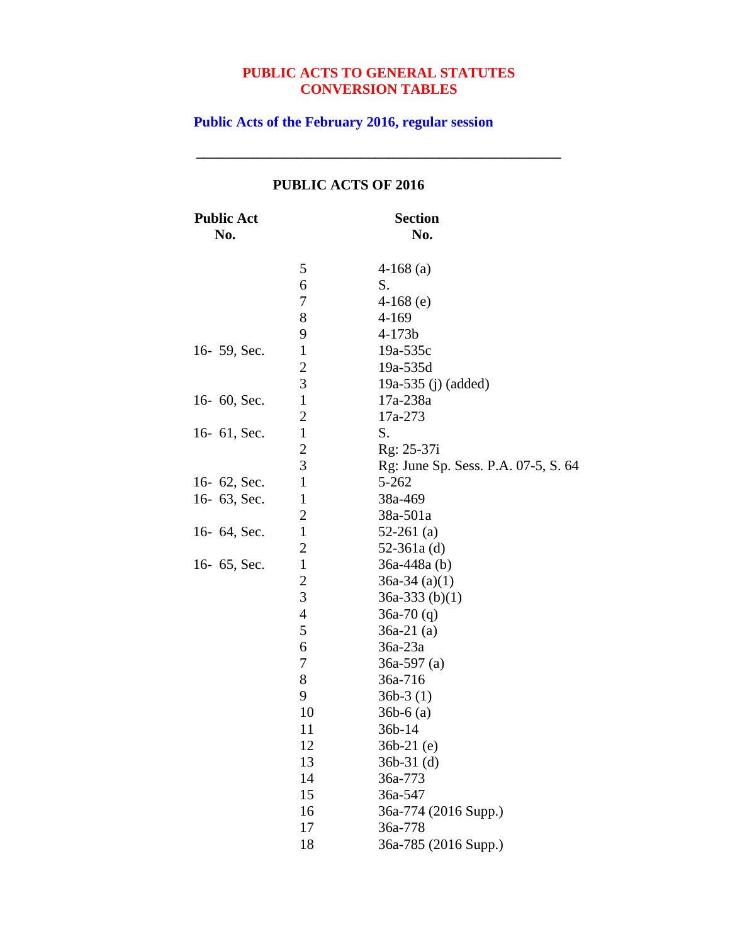**\_\_\_\_\_\_\_\_\_\_\_\_\_\_\_\_\_\_\_\_\_\_\_\_\_\_\_\_\_\_\_\_\_\_\_\_\_\_\_\_\_\_\_\_\_\_\_\_\_\_\_**

**Public Acts of the February 2016, regular session**

| <b>Public Act</b><br>No. |                | <b>Section</b><br>No.               |
|--------------------------|----------------|-------------------------------------|
|                          | 5              | $4-168$ (a)                         |
|                          | 6              | S.                                  |
|                          | 7              | $4-168$ (e)                         |
|                          | 8              | 4-169                               |
|                          | 9              | $4 - 173b$                          |
| 16- 59, Sec.             | $\mathbf{1}$   | $19a-535c$                          |
|                          | $\overline{c}$ | 19a-535d                            |
|                          | $\overline{3}$ | 19a-535 (j) (added)                 |
| 16-60, Sec.              | $\mathbf{1}$   | 17a-238a                            |
|                          | $\overline{c}$ | 17a-273                             |
| 16- 61, Sec.             | $\mathbf{1}$   | S.                                  |
|                          | $\overline{c}$ | Rg: 25-37i                          |
|                          | 3              | Rg: June Sp. Sess. P.A. 07-5, S. 64 |
| 16-62, Sec.              | $\mathbf{1}$   | 5-262                               |
| 16- 63, Sec.             | $\mathbf{1}$   | 38a-469                             |
|                          | $\overline{2}$ | 38a-501a                            |
| 16- 64, Sec.             | $\mathbf{1}$   | $52-261$ (a)                        |
|                          | $\overline{2}$ | 52-361a $(d)$                       |
| 16- 65, Sec.             | $\mathbf{1}$   | 36a-448a (b)                        |
|                          | $\overline{c}$ | $36a-34$ (a)(1)                     |
|                          | 3              | $36a-333$ (b)(1)                    |
|                          | $\overline{4}$ | $36a-70(q)$                         |
|                          | 5              | $36a-21$ (a)                        |
|                          | 6              | $36a-23a$                           |
|                          | 7              | $36a-597$ (a)                       |
|                          | 8              | 36a-716                             |
|                          | 9              | $36b-3(1)$                          |
|                          | 10             | $36b-6$ (a)                         |
|                          | 11             | 36b-14                              |
|                          | 12             | $36b-21$ (e)                        |
|                          | 13             | $36b-31$ (d)                        |
|                          | 14             | 36a-773                             |
|                          | 15             | 36a-547                             |
|                          | 16             | 36a-774 (2016 Supp.)                |
|                          | 17             | 36a-778                             |
|                          | 18             | 36a-785 (2016 Supp.)                |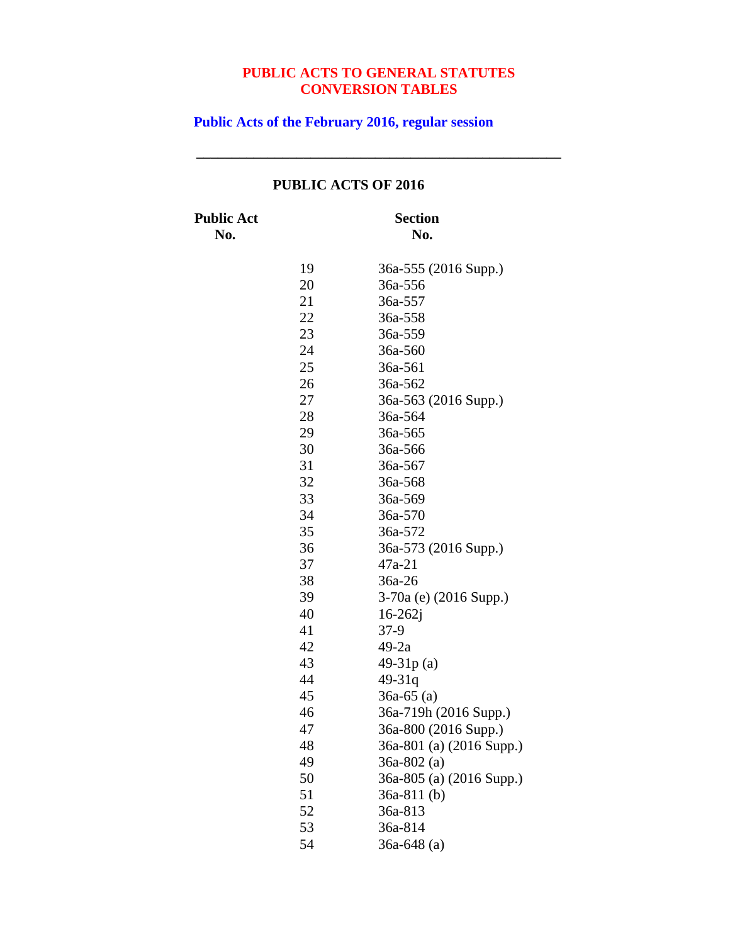**\_\_\_\_\_\_\_\_\_\_\_\_\_\_\_\_\_\_\_\_\_\_\_\_\_\_\_\_\_\_\_\_\_\_\_\_\_\_\_\_\_\_\_\_\_\_\_\_\_\_\_**

**Public Acts of the February 2016, regular session**

# **PUBLIC ACTS OF 2016**

**Public Act Section**

**No. No.**

| 19 | 36a-555 (2016 Supp.)     |
|----|--------------------------|
| 20 | 36a-556                  |
| 21 | 36a-557                  |
| 22 | 36a-558                  |
| 23 | 36a-559                  |
| 24 | 36a-560                  |
| 25 | 36a-561                  |
| 26 | 36a-562                  |
| 27 | 36a-563 (2016 Supp.)     |
| 28 | 36a-564                  |
| 29 | 36a-565                  |
| 30 | 36a-566                  |
| 31 | 36a-567                  |
| 32 | 36a-568                  |
| 33 | 36a-569                  |
| 34 | 36a-570                  |
| 35 | 36a-572                  |
| 36 | 36a-573 (2016 Supp.)     |
| 37 | $47a-21$                 |
| 38 | 36a-26                   |
| 39 | 3-70a (e) (2016 Supp.)   |
| 40 | $16 - 262i$              |
| 41 | $37-9$                   |
| 42 | $49-2a$                  |
| 43 | 49-31p(a)                |
| 44 | 49-31q                   |
| 45 | $36a-65$ (a)             |
| 46 | 36a-719h (2016 Supp.)    |
| 47 | 36a-800 (2016 Supp.)     |
| 48 | 36a-801 (a) (2016 Supp.) |
| 49 | 36a-802 (a)              |
| 50 | 36a-805 (a) (2016 Supp.) |
| 51 | $36a-811(b)$             |
| 52 | 36a-813                  |
| 53 | 36a-814                  |
| 54 | 36a-648 (a)              |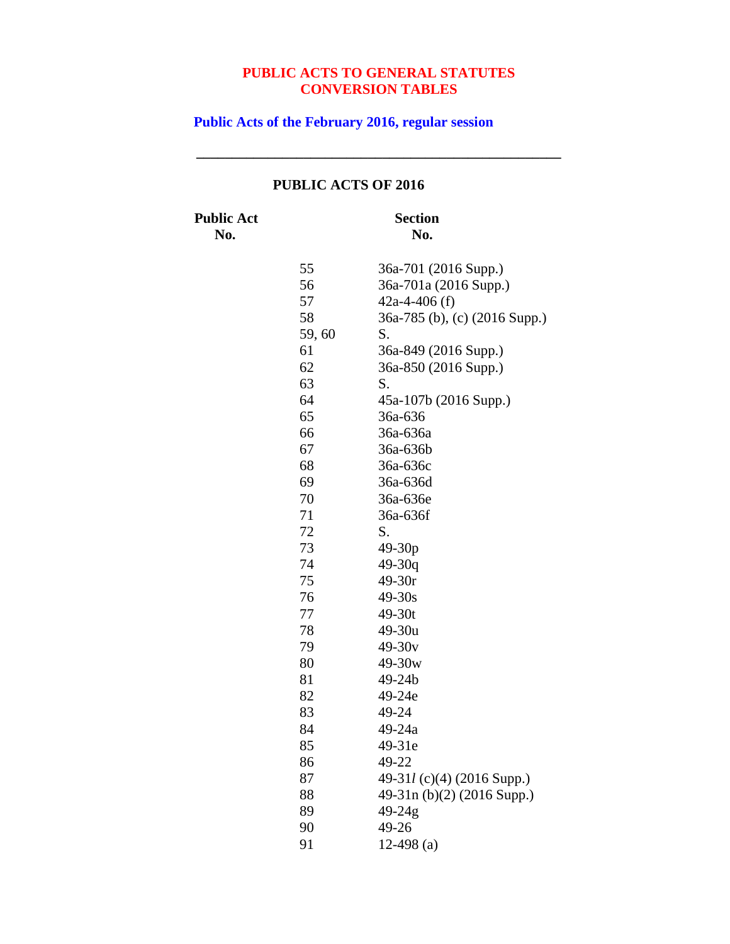**\_\_\_\_\_\_\_\_\_\_\_\_\_\_\_\_\_\_\_\_\_\_\_\_\_\_\_\_\_\_\_\_\_\_\_\_\_\_\_\_\_\_\_\_\_\_\_\_\_\_\_**

**Public Acts of the February 2016, regular session**

### **PUBLIC ACTS OF 2016**

**Public Act Section**

**No. No.** 36a-701 (2016 Supp.) 36a-701a (2016 Supp.) 42a-4-406 (f) 36a-785 (b), (c) (2016 Supp.) 59, 60 S. 36a-849 (2016 Supp.) 36a-850 (2016 Supp.) S. 45a-107b (2016 Supp.) 36a-636 36a-636a 36a-636b 36a-636c 36a-636d 36a-636e 36a-636f S. 49-30p 49-30q 49-30r 49-30s 49-30t 49-30u 49-30v 49-30w 49-24b 49-24e 49-24 49-24a 49-31e 49-22 49-31*l* (c)(4) (2016 Supp.) 49-31n (b)(2) (2016 Supp.) 49-24g 49-26 12-498 (a)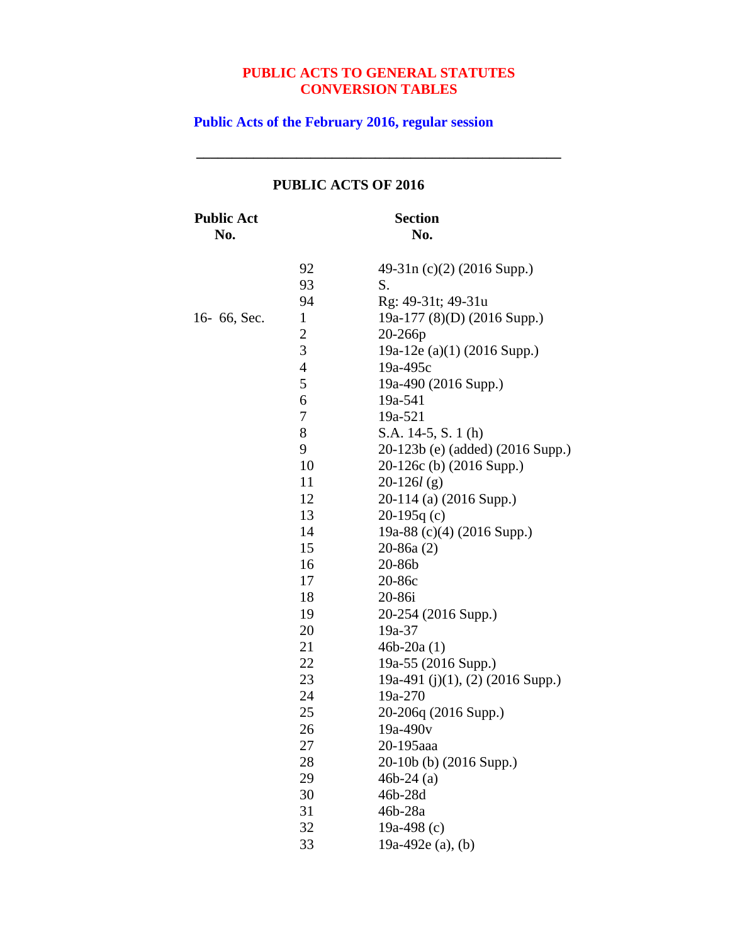**\_\_\_\_\_\_\_\_\_\_\_\_\_\_\_\_\_\_\_\_\_\_\_\_\_\_\_\_\_\_\_\_\_\_\_\_\_\_\_\_\_\_\_\_\_\_\_\_\_\_\_**

# **Public Acts of the February 2016, regular session**

# **PUBLIC ACTS OF 2016**

**Public Act Section**

**No. No.**

|             | 92             | 49-31n (c)(2) (2016 Supp.)       |
|-------------|----------------|----------------------------------|
|             | 93             | S.                               |
|             | 94             | Rg: 49-31t; 49-31u               |
| 16-66, Sec. | $\mathbf{1}$   | 19a-177 (8)(D) (2016 Supp.)      |
|             | $\overline{c}$ | 20-266p                          |
|             | 3              | 19a-12e (a)(1) (2016 Supp.)      |
|             | $\overline{4}$ | 19a-495c                         |
|             | 5              | 19a-490 (2016 Supp.)             |
|             | 6              | 19a-541                          |
|             | 7              | 19a-521                          |
|             | 8              | S.A. 14-5, S. 1 (h)              |
|             | 9              | 20-123b (e) (added) (2016 Supp.) |
|             | 10             | 20-126c (b) (2016 Supp.)         |
|             | 11             | $20-126l$ (g)                    |
|             | 12             | 20-114 (a) (2016 Supp.)          |
|             | 13             | $20-195q(c)$                     |
|             | 14             | 19a-88 (c)(4) (2016 Supp.)       |
|             | 15             | $20-86a(2)$                      |
|             | 16             | 20-86b                           |
|             | 17             | 20-86c                           |
|             | 18             | 20-86i                           |
|             | 19             | 20-254 (2016 Supp.)              |
|             | 20             | 19a-37                           |
|             | 21             | $46b - 20a(1)$                   |
|             | 22             | 19a-55 (2016 Supp.)              |
|             | 23             | 19a-491 (j)(1), (2) (2016 Supp.) |
|             | 24             | 19a-270                          |
|             | 25             | 20-206q (2016 Supp.)             |
|             | 26             | 19a-490v                         |
|             | 27             | 20-195aaa                        |
|             | 28             | 20-10b (b) (2016 Supp.)          |
|             | 29             | $46b-24(a)$                      |
|             | 30             | 46b-28d                          |
|             | 31             | 46b-28a                          |
|             | 32             | 19a-498 $(c)$                    |
|             | 33             | 19a-492 $e$ (a), (b)             |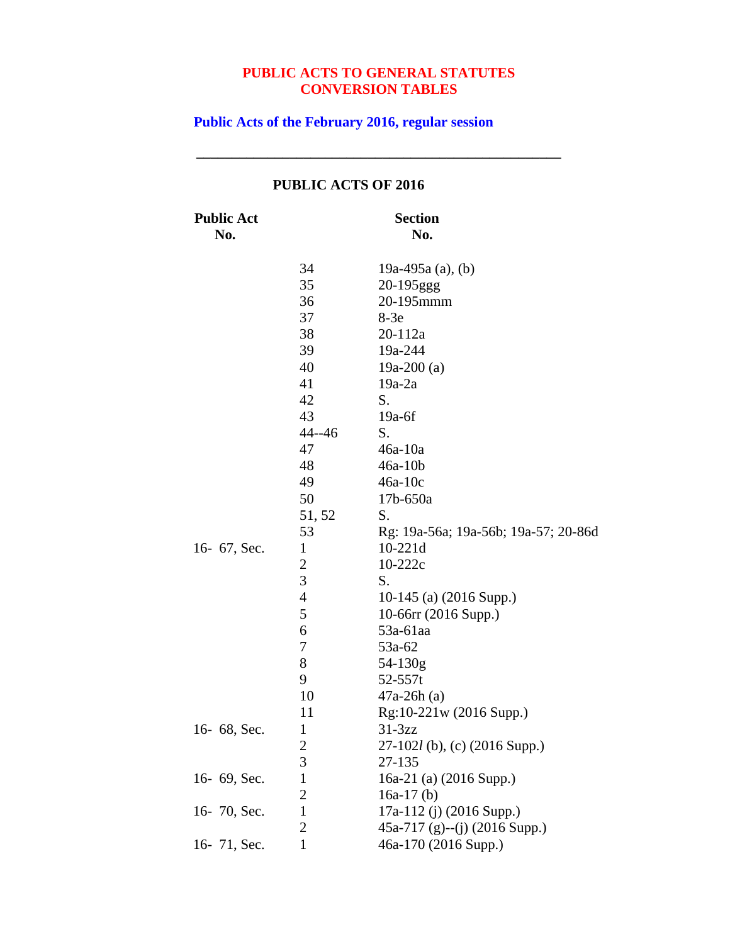**\_\_\_\_\_\_\_\_\_\_\_\_\_\_\_\_\_\_\_\_\_\_\_\_\_\_\_\_\_\_\_\_\_\_\_\_\_\_\_\_\_\_\_\_\_\_\_\_\_\_\_**

**Public Acts of the February 2016, regular session**

| <b>Public Act</b><br>No. |                | <b>Section</b><br>No.                |
|--------------------------|----------------|--------------------------------------|
|                          |                |                                      |
|                          | 34             | 19a-495a (a), (b)                    |
|                          | 35             | 20-195ggg                            |
|                          | 36             | 20-195mmm                            |
|                          | 37             | $8-3e$                               |
|                          | 38             | 20-112a                              |
|                          | 39             | 19a-244                              |
|                          | 40             | 19a-200 $(a)$                        |
|                          | 41             | $19a-2a$                             |
|                          | 42             | S.                                   |
|                          | 43             | $19a-6f$                             |
|                          | $44 - 46$      | S.                                   |
|                          | 47             | $46a-10a$                            |
|                          | 48             | $46a-10b$                            |
|                          | 49             | $46a-10c$                            |
|                          | 50             | 17b-650a                             |
|                          | 51, 52         | S.                                   |
|                          | 53             | Rg: 19a-56a; 19a-56b; 19a-57; 20-86d |
| 16- 67, Sec.             | $\mathbf{1}$   | $10-221d$                            |
|                          | $\overline{c}$ | 10-222c                              |
|                          | 3              | S.                                   |
|                          | $\overline{4}$ | 10-145 (a) (2016 Supp.)              |
|                          | 5              | 10-66rr (2016 Supp.)                 |
|                          | 6              | 53a-61aa                             |
|                          | 7              | 53a-62                               |
|                          | 8              | 54-130g                              |
|                          | 9              | $52 - 557t$                          |
|                          | 10             | $47a-26h(a)$                         |
|                          | 11             | Rg:10-221w (2016 Supp.)              |
| 16-68, Sec.              | $\mathbf{1}$   | $31-3zz$                             |
|                          | $\frac{2}{3}$  | $27-102l$ (b), (c) (2016 Supp.)      |
|                          |                | 27-135                               |
| 16- 69, Sec.             | $\mathbf{1}$   | 16a-21 (a) (2016 Supp.)              |
|                          | $\overline{2}$ | 16a-17 $(b)$                         |
| 16-70, Sec.              | $\mathbf{1}$   | 17a-112 (j) (2016 Supp.)             |
|                          | $\overline{c}$ | $45a-717$ (g)--(j) (2016 Supp.)      |
| 16-71, Sec.              | $\mathbf{1}$   | 46a-170 (2016 Supp.)                 |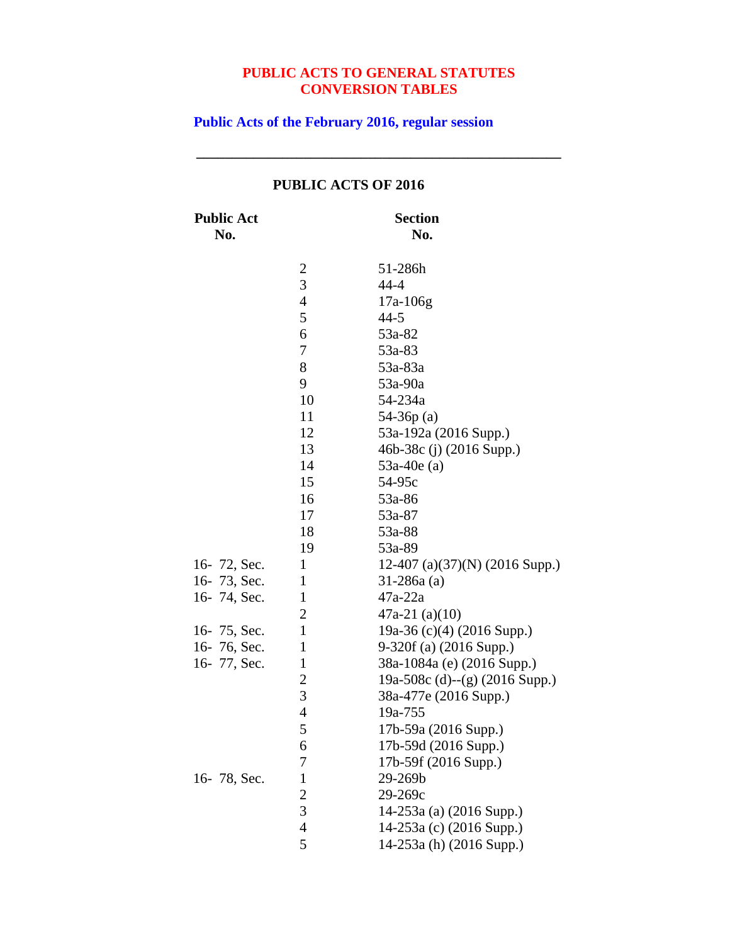**\_\_\_\_\_\_\_\_\_\_\_\_\_\_\_\_\_\_\_\_\_\_\_\_\_\_\_\_\_\_\_\_\_\_\_\_\_\_\_\_\_\_\_\_\_\_\_\_\_\_\_**

**Public Acts of the February 2016, regular session**

| <b>Public Act</b><br>No. |                | <b>Section</b><br>No.             |
|--------------------------|----------------|-----------------------------------|
|                          | $\overline{c}$ | 51-286h                           |
|                          | 3              | $44 - 4$                          |
|                          | $\overline{4}$ | $17a-106g$                        |
|                          | 5              | $44 - 5$                          |
|                          | 6              | 53a-82                            |
|                          | 7              | 53a-83                            |
|                          | 8              | 53a-83a                           |
|                          | 9              | 53a-90a                           |
|                          | 10             | 54-234a                           |
|                          | 11             | $54-36p(a)$                       |
|                          | 12             | 53a-192a (2016 Supp.)             |
|                          | 13             | 46b-38c (j) (2016 Supp.)          |
|                          | 14             | $53a-40e(a)$                      |
|                          | 15             | 54-95c                            |
|                          | 16             | 53a-86                            |
|                          | 17             | 53a-87                            |
|                          | 18             | 53a-88                            |
|                          | 19             | 53a-89                            |
| 16-72, Sec.              | $\mathbf{1}$   | 12-407 (a) $(37)(N)$ (2016 Supp.) |
| 16-73, Sec.              | $\mathbf{1}$   | $31 - 286a$ (a)                   |
| 16-74, Sec.              | $\mathbf{1}$   | $47a-22a$                         |
|                          | $\overline{2}$ | $47a-21$ (a)(10)                  |
| 16-75, Sec.              | $\mathbf{1}$   | 19a-36 (c)(4) (2016 Supp.)        |
| 16-76, Sec.              | $\mathbf{1}$   | 9-320f (a) (2016 Supp.)           |
| 16-77, Sec.              | $\mathbf{1}$   | 38a-1084a (e) (2016 Supp.)        |
|                          | $\overline{c}$ | 19a-508c (d)--(g) (2016 Supp.)    |
|                          | 3              | 38a-477e (2016 Supp.)             |
|                          | $\overline{4}$ | 19a-755                           |
|                          | 5              | 17b-59a (2016 Supp.)              |
|                          | 6              | 17b-59d (2016 Supp.)              |
|                          | 7              | 17b-59f (2016 Supp.)              |
| 16-78, Sec.              | $\mathbf{1}$   | 29-269b                           |
|                          | $\overline{c}$ | 29-269c                           |
|                          | $\overline{3}$ | 14-253a (a) (2016 Supp.)          |
|                          | $\overline{4}$ | 14-253a (c) (2016 Supp.)          |
|                          | 5              | 14-253a (h) (2016 Supp.)          |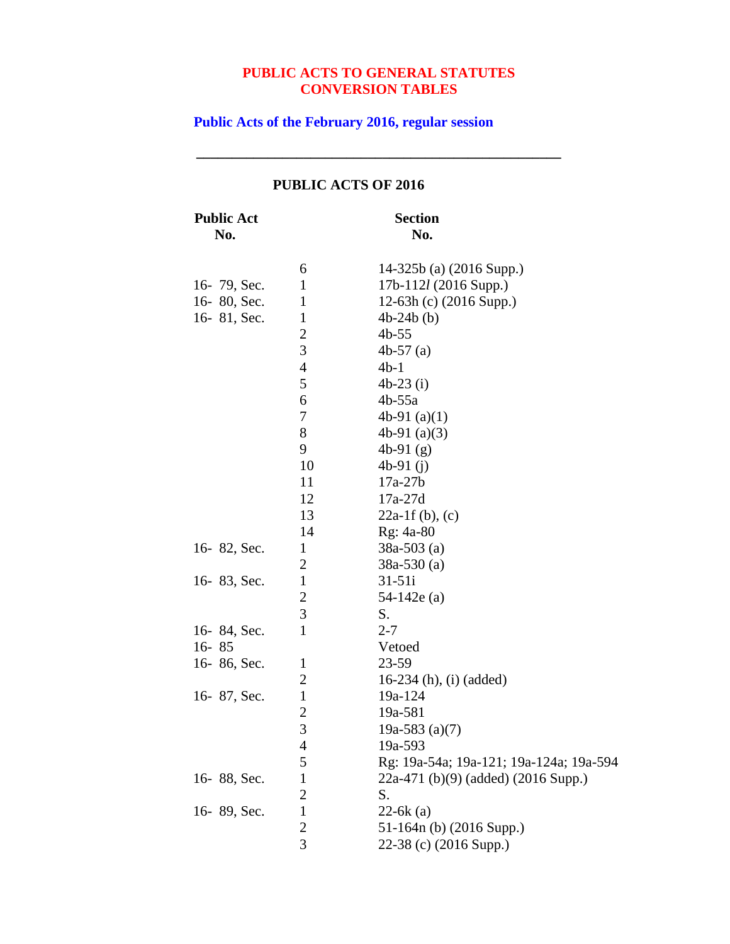**\_\_\_\_\_\_\_\_\_\_\_\_\_\_\_\_\_\_\_\_\_\_\_\_\_\_\_\_\_\_\_\_\_\_\_\_\_\_\_\_\_\_\_\_\_\_\_\_\_\_\_**

**Public Acts of the February 2016, regular session**

| <b>Public Act</b><br>No. |                | <b>Section</b><br>No.                   |
|--------------------------|----------------|-----------------------------------------|
|                          | 6              | 14-325b (a) (2016 Supp.)                |
| 16-79, Sec.              | $\mathbf{1}$   | $17b-112l$ (2016 Supp.)                 |
| 16-80, Sec.              | $\mathbf{1}$   | 12-63h (c) (2016 Supp.)                 |
| 16-81, Sec.              | $\mathbf{1}$   | $4b-24b(b)$                             |
|                          | $\overline{c}$ | $4b-55$                                 |
|                          | 3              | $4b-57$ (a)                             |
|                          | $\overline{4}$ | $4b-1$                                  |
|                          | 5              | $4b-23$ (i)                             |
|                          | 6              | $4b-55a$                                |
|                          | 7              | 4b-91 $(a)(1)$                          |
|                          | 8              | 4b-91 $(a)(3)$                          |
|                          | 9              | 4b-91 $(g)$                             |
|                          | 10             | 4b-91 $(i)$                             |
|                          | 11             | $17a-27b$                               |
|                          | 12             | $17a-27d$                               |
|                          | 13             | $22a-1 f(b)$ , (c)                      |
|                          | 14             | Rg: 4a-80                               |
| 16-82, Sec.              | $\mathbf{1}$   | $38a-503$ (a)                           |
|                          | 2              | $38a-530(a)$                            |
| 16-83, Sec.              | $\mathbf{1}$   | $31 - 51i$                              |
|                          | $\overline{c}$ | $54-142e(a)$                            |
|                          | 3              | S.                                      |
| 16-84, Sec.              | $\mathbf{1}$   | $2 - 7$                                 |
| $16 - 85$                |                | Vetoed                                  |
| 16-86, Sec.              | $\mathbf{1}$   | 23-59                                   |
|                          | 2              | 16-234 (h), (i) (added)                 |
| 16-87, Sec.              | $\mathbf{1}$   | 19a-124                                 |
|                          | $\overline{2}$ | 19a-581                                 |
|                          | 3              | 19a-583 $(a)(7)$                        |
|                          | 4              | 19a-593                                 |
|                          | 5              | Rg: 19a-54a; 19a-121; 19a-124a; 19a-594 |
| 16-88, Sec.              | $\mathbf{1}$   | 22a-471 (b)(9) (added) (2016 Supp.)     |
|                          | $\overline{2}$ | S.                                      |
| 16-89, Sec.              | $\mathbf{1}$   | $22-6k$ (a)                             |
|                          | $\overline{c}$ | 51-164n (b) (2016 Supp.)                |
|                          | 3              | 22-38 (c) (2016 Supp.)                  |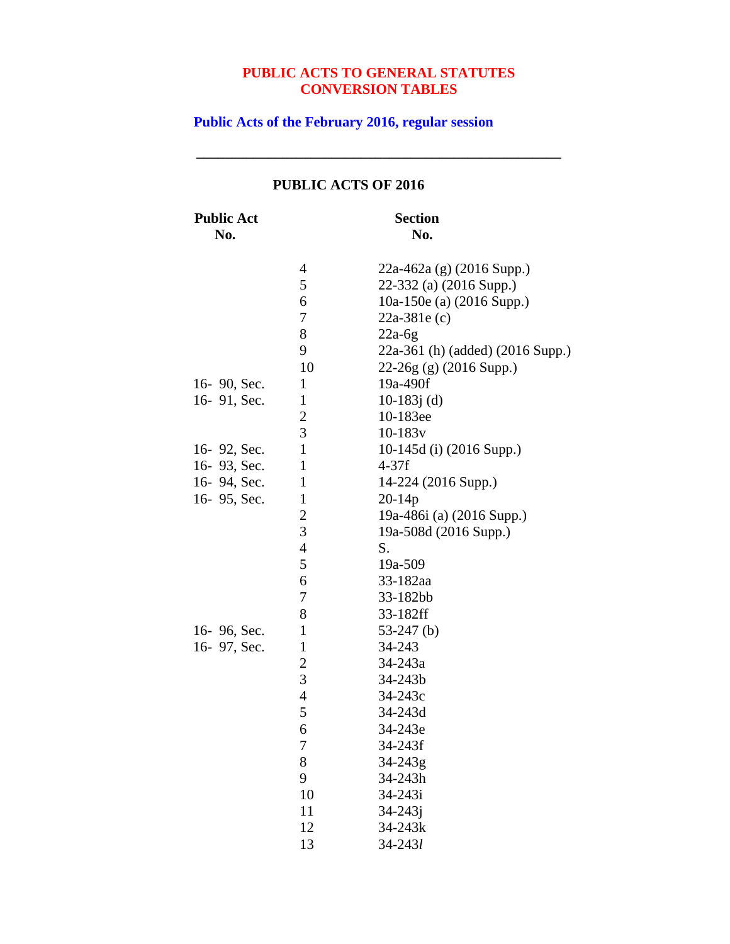**\_\_\_\_\_\_\_\_\_\_\_\_\_\_\_\_\_\_\_\_\_\_\_\_\_\_\_\_\_\_\_\_\_\_\_\_\_\_\_\_\_\_\_\_\_\_\_\_\_\_\_**

**Public Acts of the February 2016, regular session**

| <b>Public Act</b><br>No. |                         | <b>Section</b><br>No.            |
|--------------------------|-------------------------|----------------------------------|
|                          | 4                       | $22a-462a$ (g) (2016 Supp.)      |
|                          | 5                       | 22-332 (a) (2016 Supp.)          |
|                          | 6                       | 10a-150e (a) (2016 Supp.)        |
|                          | 7                       | $22a-381e(c)$                    |
|                          | 8                       | $22a-6g$                         |
|                          | 9                       | 22a-361 (h) (added) (2016 Supp.) |
|                          | 10                      | $22-26g$ (g) (2016 Supp.)        |
| 16-90, Sec.              | $\mathbf{1}$            | 19a-490f                         |
| 16-91, Sec.              | $\mathbf{1}$            | 10-183 $j$ (d)                   |
|                          | $rac{2}{3}$             | 10-183ee                         |
|                          |                         | $10-183v$                        |
| 16-92, Sec.              | $\mathbf{1}$            | 10-145d (i) $(2016$ Supp.)       |
| 16-93, Sec.              | $\mathbf{1}$            | $4-37f$                          |
| 16-94, Sec.              | $\mathbf{1}$            | 14-224 (2016 Supp.)              |
| 16-95, Sec.              | $\mathbf{1}$            | $20 - 14p$                       |
|                          | $\overline{\mathbf{c}}$ | 19a-486i (a) (2016 Supp.)        |
|                          | $\overline{3}$          | 19a-508d (2016 Supp.)            |
|                          | 4                       | S.                               |
|                          | 5                       | 19a-509                          |
|                          | 6                       | 33-182aa                         |
|                          | 7                       | 33-182bb                         |
|                          | 8                       | 33-182ff                         |
| 16-96, Sec.              | $\mathbf{1}$            | $53-247$ (b)                     |
| 16-97, Sec.              | $\mathbf{1}$            | 34-243                           |
|                          | $\overline{c}$          | $34 - 243a$                      |
|                          | 3                       | 34-243b                          |
|                          | $\overline{4}$          | 34-243c                          |
|                          | 5                       | 34-243d                          |
|                          | 6                       | 34-243e                          |
|                          | 7                       | 34-243f                          |
|                          | 8                       | 34-243g                          |
|                          | 9                       | 34-243h                          |
|                          | 10                      | 34-243i                          |
|                          | 11                      | $34 - 243j$                      |
|                          | 12                      | 34-243k                          |
|                          | 13                      | 34-2431                          |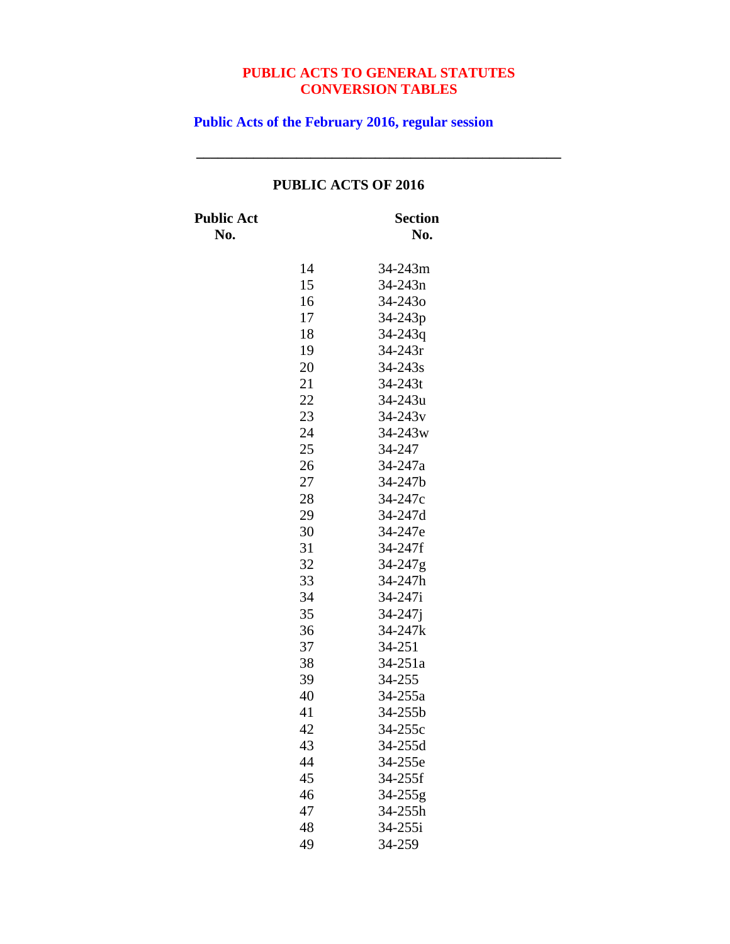**\_\_\_\_\_\_\_\_\_\_\_\_\_\_\_\_\_\_\_\_\_\_\_\_\_\_\_\_\_\_\_\_\_\_\_\_\_\_\_\_\_\_\_\_\_\_\_\_\_\_\_**

**Public Acts of the February 2016, regular session**

| <b>Public Act</b><br>No. |    | Section<br>No.      |
|--------------------------|----|---------------------|
|                          | 14 | 34-243m             |
|                          | 15 | 34-243n             |
|                          | 16 | 34-243 <sub>o</sub> |
|                          | 17 | 34-243p             |
|                          | 18 | $34 - 243q$         |
|                          | 19 | 34-243r             |
|                          | 20 | 34-243s             |
|                          | 21 | 34-243t             |
|                          | 22 | 34-243u             |
|                          | 23 | $34 - 243v$         |
|                          | 24 | 34-243w             |
|                          | 25 | 34-247              |
|                          | 26 | 34-247a             |
|                          | 27 | 34-247b             |
|                          | 28 | 34-247c             |
|                          | 29 | 34-247d             |
|                          | 30 | 34-247e             |
|                          | 31 | 34-247f             |
|                          | 32 | 34-247g             |
|                          | 33 | 34-247h             |
|                          | 34 | 34-247i             |
|                          | 35 | $34 - 247j$         |
|                          | 36 | 34-247k             |
|                          | 37 | 34-251              |
|                          | 38 | 34-251a             |
|                          | 39 | 34-255              |
|                          | 40 | 34-255a             |
|                          | 41 | 34-255b             |
|                          | 42 | 34-255c             |
|                          | 43 | 34-255d             |
|                          | 44 | 34-255e             |
|                          | 45 | 34-255f             |
|                          | 46 | $34 - 255g$         |
|                          | 47 | 34-255h             |
|                          | 48 | 34-255i             |
|                          | 49 | 34-259              |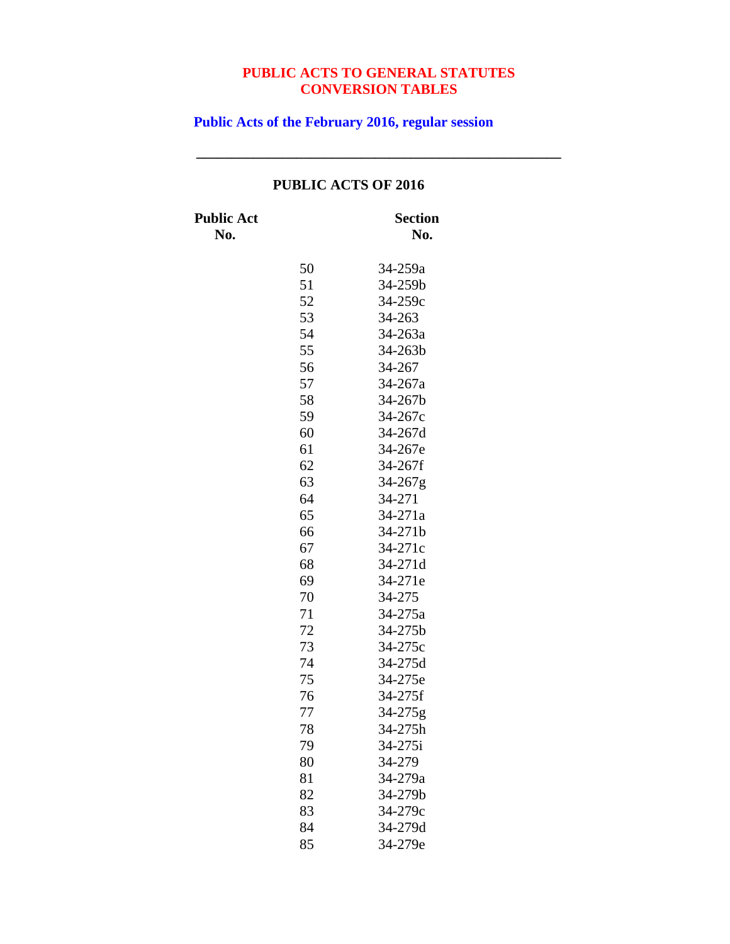**\_\_\_\_\_\_\_\_\_\_\_\_\_\_\_\_\_\_\_\_\_\_\_\_\_\_\_\_\_\_\_\_\_\_\_\_\_\_\_\_\_\_\_\_\_\_\_\_\_\_\_**

**Public Acts of the February 2016, regular session**

| <b>Public Act</b><br>No. |    | <b>Section</b><br>No. |
|--------------------------|----|-----------------------|
|                          | 50 | 34-259a               |
|                          | 51 | 34-259b               |
|                          | 52 | 34-259c               |
|                          | 53 | 34-263                |
|                          | 54 | 34-263a               |
|                          | 55 | 34-263b               |
|                          | 56 | 34-267                |
|                          | 57 | 34-267a               |
|                          | 58 | 34-267b               |
|                          | 59 | 34-267c               |
|                          | 60 | 34-267d               |
|                          | 61 | 34-267e               |
|                          | 62 | 34-267f               |
|                          | 63 | 34-267g               |
|                          | 64 | 34-271                |
|                          | 65 | 34-271a               |
|                          | 66 | 34-271b               |
|                          | 67 | 34-271c               |
|                          | 68 | 34-271d               |
|                          | 69 | 34-271e               |
|                          | 70 | 34-275                |
|                          | 71 | 34-275a               |
|                          | 72 | 34-275b               |
|                          | 73 | 34-275c               |
|                          | 74 | 34-275d               |
|                          | 75 | 34-275e               |
|                          | 76 | 34-275f               |
|                          | 77 | 34-275g               |
|                          | 78 | 34-275h               |
|                          | 79 | 34-275i               |
|                          | 80 | 34-279                |
|                          | 81 | 34-279a               |
|                          | 82 | 34-279b               |
|                          | 83 | 34-279c               |
|                          | 84 | 34-279d               |
|                          | 85 | 34-279e               |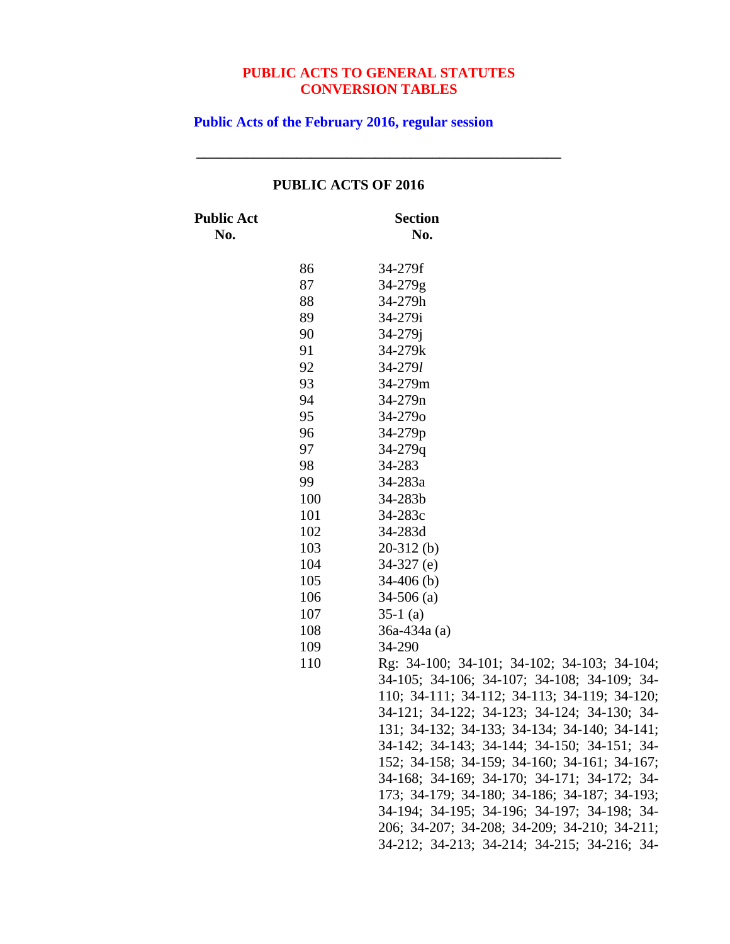**\_\_\_\_\_\_\_\_\_\_\_\_\_\_\_\_\_\_\_\_\_\_\_\_\_\_\_\_\_\_\_\_\_\_\_\_\_\_\_\_\_\_\_\_\_\_\_\_\_\_\_**

**Public Acts of the February 2016, regular session**

|                          |     | PUBLIC ACTS OF 2016                          |
|--------------------------|-----|----------------------------------------------|
| <b>Public Act</b><br>No. |     | <b>Section</b><br>No.                        |
|                          | 86  | 34-279f                                      |
|                          | 87  | $34 - 279g$                                  |
|                          | 88  | 34-279h                                      |
|                          | 89  | 34-279i                                      |
|                          | 90  | $34 - 279j$                                  |
|                          | 91  | 34-279k                                      |
|                          | 92  | $34 - 279l$                                  |
|                          | 93  | 34-279m                                      |
|                          | 94  | $34 - 279n$                                  |
|                          | 95  | 34-2790                                      |
|                          | 96  | 34-279p                                      |
|                          | 97  | $34 - 279q$                                  |
|                          | 98  | 34-283                                       |
|                          | 99  | 34-283a                                      |
|                          | 100 | 34-283b                                      |
|                          | 101 | 34-283c                                      |
|                          | 102 | 34-283d                                      |
|                          | 103 | $20-312$ (b)                                 |
|                          | 104 | $34-327$ (e)                                 |
|                          | 105 | $34-406$ (b)                                 |
|                          | 106 | $34-506$ (a)                                 |
|                          | 107 | $35-1$ (a)                                   |
|                          | 108 | $36a-434a(a)$                                |
|                          | 109 | 34-290                                       |
|                          | 110 | Rg: 34-100; 34-101; 34-102; 34-103; 34-104;  |
|                          |     | 34-105; 34-106; 34-107; 34-108; 34-109; 34-  |
|                          |     | 110; 34-111; 34-112; 34-113; 34-119; 34-120; |
|                          |     | 34-121; 34-122; 34-123; 34-124; 34-130; 34-  |
|                          |     | 131; 34-132; 34-133; 34-134; 34-140; 34-141; |
|                          |     | 34-142; 34-143; 34-144; 34-150; 34-151; 34-  |
|                          |     | 152; 34-158; 34-159; 34-160; 34-161; 34-167; |
|                          |     | 34-168; 34-169; 34-170; 34-171; 34-172; 34-  |
|                          |     | 173; 34-179; 34-180; 34-186; 34-187; 34-193; |
|                          |     | 34-194; 34-195; 34-196; 34-197; 34-198; 34-  |
|                          |     | 206; 34-207; 34-208; 34-209; 34-210; 34-211; |
|                          |     | 34-212; 34-213; 34-214; 34-215; 34-216; 34-  |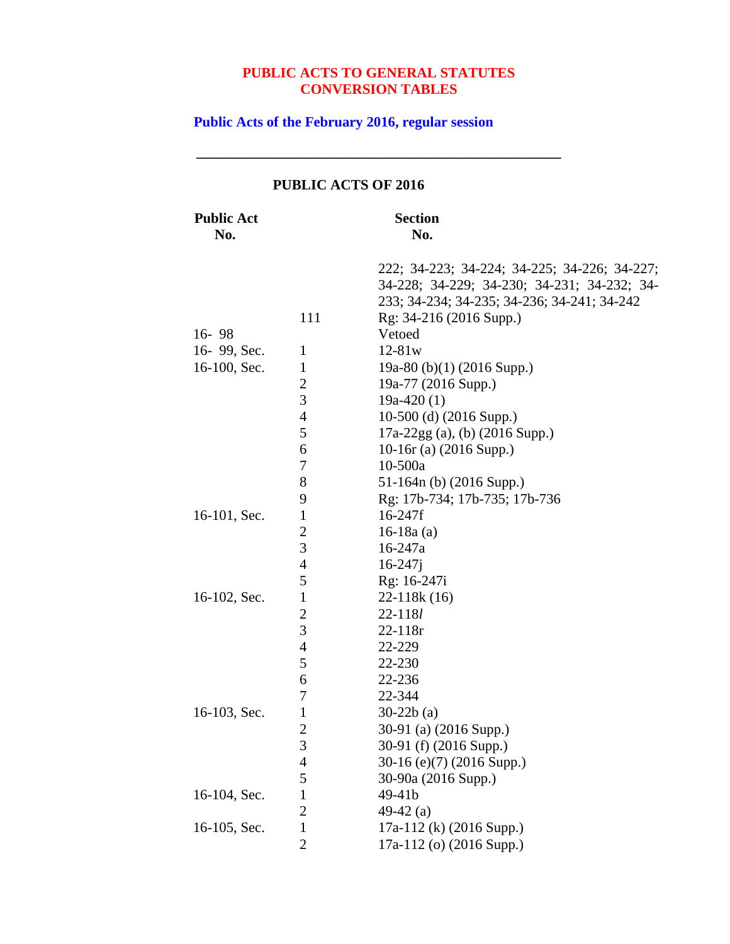**\_\_\_\_\_\_\_\_\_\_\_\_\_\_\_\_\_\_\_\_\_\_\_\_\_\_\_\_\_\_\_\_\_\_\_\_\_\_\_\_\_\_\_\_\_\_\_\_\_\_\_**

**Public Acts of the February 2016, regular session**

| <b>Public Act</b><br>No. |                | <b>Section</b><br>No.                                                                                                                      |
|--------------------------|----------------|--------------------------------------------------------------------------------------------------------------------------------------------|
|                          |                | 222; 34-223; 34-224; 34-225; 34-226; 34-227;<br>34-228; 34-229; 34-230; 34-231; 34-232; 34-<br>233; 34-234; 34-235; 34-236; 34-241; 34-242 |
|                          | 111            | Rg: 34-216 (2016 Supp.)                                                                                                                    |
| $16 - 98$                |                | Vetoed                                                                                                                                     |
| 16-99, Sec.              | $\mathbf{1}$   | $12 - 81w$                                                                                                                                 |
| 16-100, Sec.             | $\mathbf{1}$   | 19a-80 (b)(1) (2016 Supp.)                                                                                                                 |
|                          | 2              | 19a-77 (2016 Supp.)                                                                                                                        |
|                          | 3              | $19a-420(1)$                                                                                                                               |
|                          | $\overline{4}$ | 10-500 (d) $(2016$ Supp.)                                                                                                                  |
|                          | 5              | $17a-22gg$ (a), (b) (2016 Supp.)                                                                                                           |
|                          | 6              | 10-16 $r$ (a) (2016 Supp.)                                                                                                                 |
|                          | 7              | $10 - 500a$                                                                                                                                |
|                          | 8              | 51-164n (b) (2016 Supp.)                                                                                                                   |
|                          | 9              | Rg: 17b-734; 17b-735; 17b-736                                                                                                              |
| 16-101, Sec.             | $\mathbf{1}$   | $16 - 247f$                                                                                                                                |
|                          | $\overline{c}$ | $16-18a$ (a)                                                                                                                               |
|                          | 3              | 16-247a                                                                                                                                    |
|                          | 4              | $16 - 247j$                                                                                                                                |
|                          | 5              | Rg: 16-247i                                                                                                                                |
| 16-102, Sec.             | $\mathbf{1}$   | $22-118k(16)$                                                                                                                              |
|                          | $\overline{c}$ | 22-1181                                                                                                                                    |
|                          | $\overline{3}$ | $22 - 118r$                                                                                                                                |
|                          | 4              | 22-229                                                                                                                                     |
|                          | 5              | 22-230                                                                                                                                     |
|                          | 6              | 22-236                                                                                                                                     |
|                          | 7              | 22-344                                                                                                                                     |
| 16-103, Sec.             | $\mathbf{1}$   | $30-22b(a)$                                                                                                                                |
|                          | $\overline{2}$ | 30-91 (a) (2016 Supp.)                                                                                                                     |
|                          | 3              | 30-91 (f) (2016 Supp.)                                                                                                                     |
|                          | 4              | $30-16$ (e)(7) (2016 Supp.)                                                                                                                |
|                          | 5              | 30-90a (2016 Supp.)                                                                                                                        |
| 16-104, Sec.             | $\mathbf{1}$   | 49-41b                                                                                                                                     |
|                          | $\overline{2}$ | 49-42 $(a)$                                                                                                                                |
| 16-105, Sec.             | $\mathbf{1}$   | 17a-112 (k) (2016 Supp.)                                                                                                                   |
|                          | $\overline{2}$ | 17a-112 (o) (2016 Supp.)                                                                                                                   |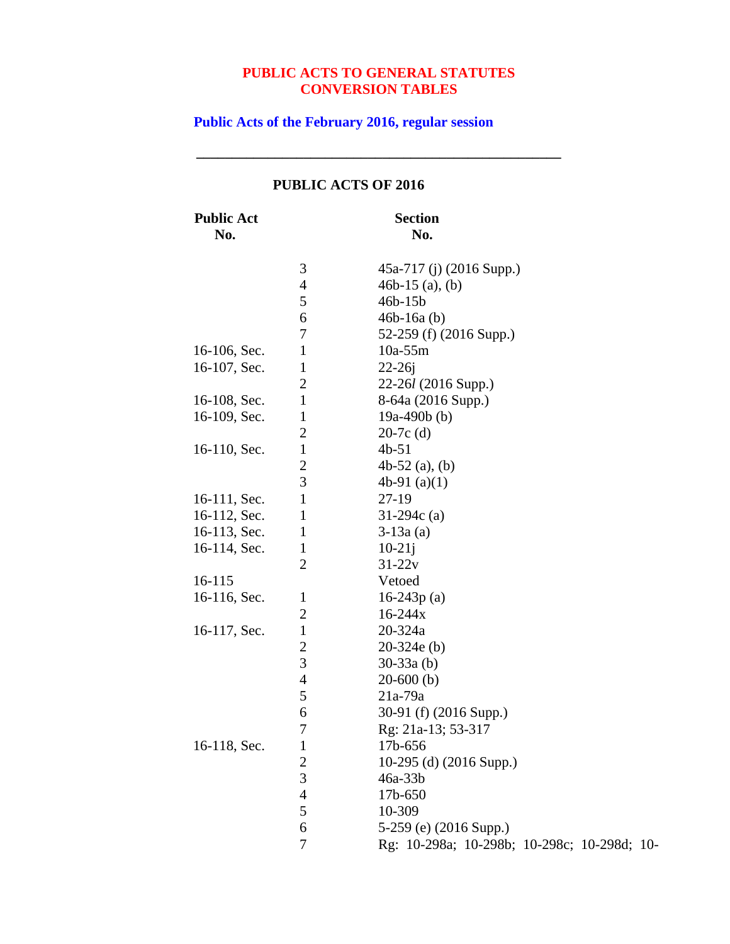**\_\_\_\_\_\_\_\_\_\_\_\_\_\_\_\_\_\_\_\_\_\_\_\_\_\_\_\_\_\_\_\_\_\_\_\_\_\_\_\_\_\_\_\_\_\_\_\_\_\_\_**

**Public Acts of the February 2016, regular session**

| <b>Public Act</b><br>No. |                | <b>Section</b><br>No.                       |
|--------------------------|----------------|---------------------------------------------|
|                          | 3              | 45a-717 (j) (2016 Supp.)                    |
|                          | $\overline{4}$ | 46b-15 $(a)$ , $(b)$                        |
|                          | 5              | $46b-15b$                                   |
|                          | 6              | $46b-16a(b)$                                |
|                          | 7              | 52-259 (f) (2016 Supp.)                     |
| 16-106, Sec.             | $\mathbf{1}$   | $10a-55m$                                   |
| 16-107, Sec.             | $\mathbf{1}$   | $22 - 26j$                                  |
|                          | $\mathbf{2}$   | 22-26l (2016 Supp.)                         |
| 16-108, Sec.             | $\mathbf{1}$   | 8-64a (2016 Supp.)                          |
| 16-109, Sec.             | $\mathbf{1}$   | 19a-490b $(b)$                              |
|                          | $\overline{2}$ | $20-7c$ (d)                                 |
| 16-110, Sec.             | $\mathbf{1}$   | $4b-51$                                     |
|                          | $\overline{c}$ | 4b-52 $(a)$ , $(b)$                         |
|                          | $\overline{3}$ | 4b-91 $(a)(1)$                              |
| 16-111, Sec.             | $\mathbf{1}$   | $27-19$                                     |
| 16-112, Sec.             | $\mathbf{1}$   | $31-294c$ (a)                               |
| 16-113, Sec.             | $\mathbf{1}$   | $3-13a(a)$                                  |
| 16-114, Sec.             | $\mathbf{1}$   | $10-21j$                                    |
|                          | $\overline{2}$ | $31 - 22v$                                  |
| 16-115                   |                | Vetoed                                      |
| 16-116, Sec.             | $\mathbf{1}$   | $16-243p(a)$                                |
|                          | $\mathbf{2}$   | $16 - 244x$                                 |
| 16-117, Sec.             | $\mathbf{1}$   | 20-324a                                     |
|                          | $\overline{2}$ | $20-324e(b)$                                |
|                          | 3              | $30-33a$ (b)                                |
|                          | $\overline{4}$ | $20-600$ (b)                                |
|                          | $\mathfrak s$  | $21a-79a$                                   |
|                          | 6              | 30-91 (f) (2016 Supp.)                      |
|                          | $\overline{7}$ | Rg: 21a-13; 53-317                          |
| 16-118, Sec.             | 1              | 17b-656                                     |
|                          | $\overline{c}$ | 10-295 (d) (2016 Supp.)                     |
|                          | 3              | $46a-33b$                                   |
|                          | $\overline{4}$ | 17b-650                                     |
|                          | 5              | 10-309                                      |
|                          | 6              | 5-259 (e) (2016 Supp.)                      |
|                          | 7              | Rg: 10-298a; 10-298b; 10-298c; 10-298d; 10- |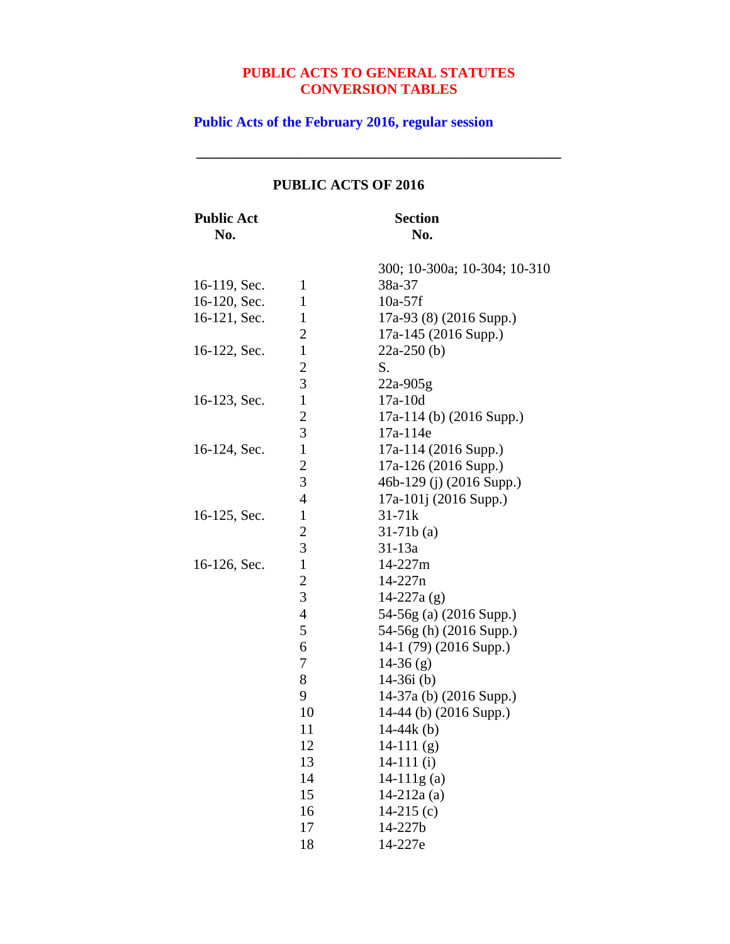**\_\_\_\_\_\_\_\_\_\_\_\_\_\_\_\_\_\_\_\_\_\_\_\_\_\_\_\_\_\_\_\_\_\_\_\_\_\_\_\_\_\_\_\_\_\_\_\_\_\_\_**

# **Public Acts of the February 2016, regular session**

| <b>Public Act</b><br>No. |                | <b>Section</b><br>No.        |
|--------------------------|----------------|------------------------------|
|                          |                | 300; 10-300a; 10-304; 10-310 |
| 16-119, Sec.             | $\mathbf{1}$   | 38a-37                       |
| 16-120, Sec.             | 1              | $10a-57f$                    |
| 16-121, Sec.             | $\mathbf{1}$   | 17a-93 (8) (2016 Supp.)      |
|                          | $\overline{c}$ | 17a-145 (2016 Supp.)         |
| 16-122, Sec.             | $\mathbf{1}$   | $22a-250$ (b)                |
|                          | $\overline{c}$ | S.                           |
|                          | 3              | $22a-905g$                   |
| 16-123, Sec.             | $\mathbf{1}$   | $17a-10d$                    |
|                          | $\overline{c}$ | 17a-114 (b) (2016 Supp.)     |
|                          | 3              | 17a-114e                     |
| 16-124, Sec.             | $\mathbf{1}$   | 17a-114 (2016 Supp.)         |
|                          | $\overline{c}$ | 17a-126 (2016 Supp.)         |
|                          | 3              | 46b-129 (j) (2016 Supp.)     |
|                          | $\overline{4}$ | 17a-101j (2016 Supp.)        |
| 16-125, Sec.             | $\mathbf{1}$   | $31 - 71k$                   |
|                          | $\overline{c}$ | $31-71b(a)$                  |
|                          | 3              | 31-13a                       |
| 16-126, Sec.             | $\mathbf{1}$   | 14-227m                      |
|                          | $\overline{c}$ | $14 - 227n$                  |
|                          | 3              | 14-227a $(g)$                |
|                          | $\overline{4}$ | 54-56g (a) (2016 Supp.)      |
|                          | 5              | 54-56g (h) (2016 Supp.)      |
|                          | 6              | 14-1 (79) (2016 Supp.)       |
|                          | 7              | $14-36(g)$                   |
|                          | 8              | $14-36i$ (b)                 |
|                          | 9              | 14-37a (b) (2016 Supp.)      |
|                          | 10             | 14-44 (b) (2016 Supp.)       |
|                          | 11             | 14-44 $k$ (b)                |
|                          | 12             | $14-111(g)$                  |
|                          | 13             | $14-111$ (i)                 |
|                          | 14             | $14-111g(a)$                 |
|                          | 15             | $14 - 212a$ (a)              |
|                          | 16             | 14-215 $(c)$                 |
|                          | 17             | 14-227b                      |
|                          | 18             | 14-227e                      |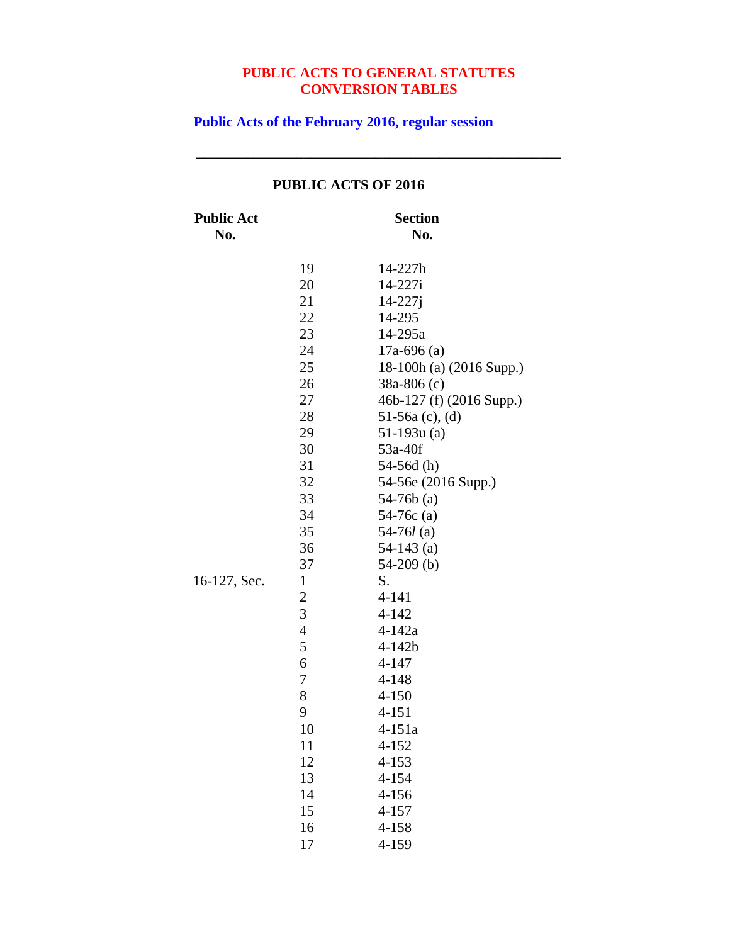**\_\_\_\_\_\_\_\_\_\_\_\_\_\_\_\_\_\_\_\_\_\_\_\_\_\_\_\_\_\_\_\_\_\_\_\_\_\_\_\_\_\_\_\_\_\_\_\_\_\_\_**

**Public Acts of the February 2016, regular session**

| <b>Public Act</b><br>No. |                                                                                                                                                                                                                                | <b>Section</b><br>No.                                                                                                                                                                                                                                                                                                                                                                                                                                                                               |
|--------------------------|--------------------------------------------------------------------------------------------------------------------------------------------------------------------------------------------------------------------------------|-----------------------------------------------------------------------------------------------------------------------------------------------------------------------------------------------------------------------------------------------------------------------------------------------------------------------------------------------------------------------------------------------------------------------------------------------------------------------------------------------------|
| 16-127, Sec.             | 19<br>20<br>21<br>22<br>23<br>24<br>25<br>26<br>27<br>28<br>29<br>30<br>31<br>32<br>33<br>34<br>35<br>36<br>37<br>$\mathbf{1}$<br>$\overline{c}$<br>3<br>$\overline{4}$<br>5<br>6<br>7<br>8<br>9<br>10<br>11<br>12<br>13<br>14 | 14-227h<br>14-227i<br>$14 - 227j$<br>14-295<br>14-295a<br>$17a-696$ (a)<br>18-100h (a) (2016 Supp.)<br>$38a-806(c)$<br>46b-127 (f) (2016 Supp.)<br>51-56a $(c)$ , $(d)$<br>$51-193u(a)$<br>53a-40f<br>$54-56d(h)$<br>54-56e (2016 Supp.)<br>$54-76b$ (a)<br>$54-76c$ (a)<br>54-76 $l$ (a)<br>$54-143$ (a)<br>$54-209$ (b)<br>S.<br>$4 - 141$<br>$4 - 142$<br>$4 - 142a$<br>$4 - 142b$<br>$4 - 147$<br>4-148<br>$4 - 150$<br>$4 - 151$<br>4-151a<br>$4 - 152$<br>$4 - 153$<br>$4 - 154$<br>$4 - 156$ |
|                          | 15<br>16                                                                                                                                                                                                                       | $4 - 157$<br>$4 - 158$                                                                                                                                                                                                                                                                                                                                                                                                                                                                              |
|                          | 17                                                                                                                                                                                                                             | 4-159                                                                                                                                                                                                                                                                                                                                                                                                                                                                                               |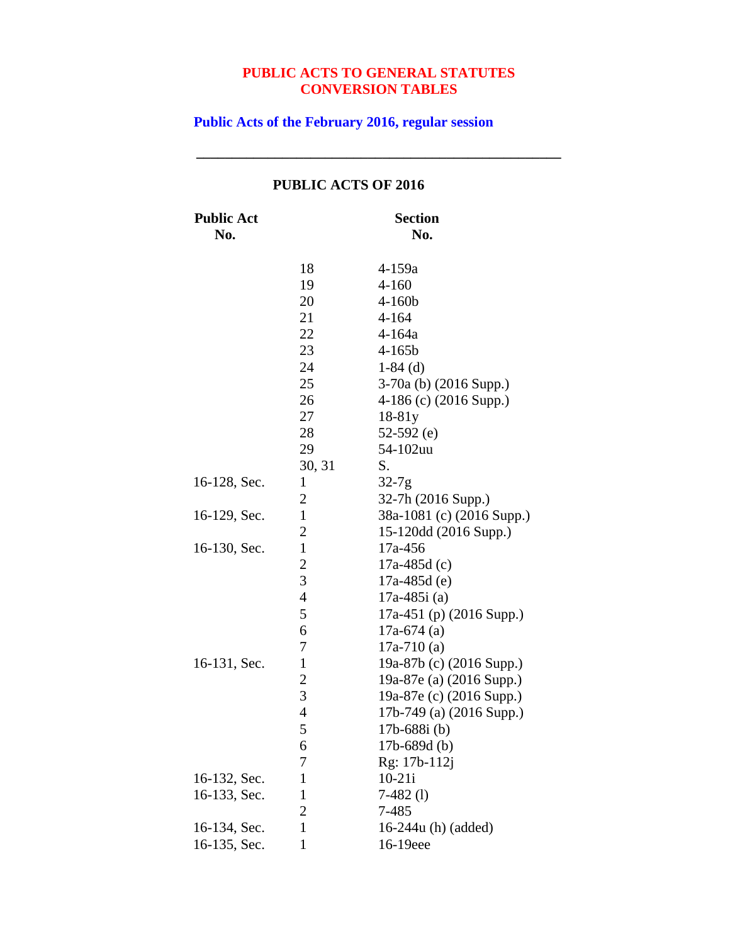**\_\_\_\_\_\_\_\_\_\_\_\_\_\_\_\_\_\_\_\_\_\_\_\_\_\_\_\_\_\_\_\_\_\_\_\_\_\_\_\_\_\_\_\_\_\_\_\_\_\_\_**

**Public Acts of the February 2016, regular session**

| <b>Public Act</b><br>No. |                | <b>Section</b><br>No.     |
|--------------------------|----------------|---------------------------|
|                          | 18             | 4-159a                    |
|                          | 19             | $4 - 160$                 |
|                          | 20             | $4 - 160b$                |
|                          | 21             | $4 - 164$                 |
|                          | 22             | $4 - 164a$                |
|                          | 23             | $4 - 165b$                |
|                          | 24             | $1-84$ (d)                |
|                          | 25             | $3-70a$ (b) (2016 Supp.)  |
|                          | 26             | 4-186 (c) $(2016$ Supp.)  |
|                          | 27             | $18-81y$                  |
|                          | 28             | 52-592 $(e)$              |
|                          | 29             | 54-102uu                  |
|                          | 30, 31         | S.                        |
| 16-128, Sec.             | $\mathbf{1}$   | $32-7g$                   |
|                          | 2              | 32-7h (2016 Supp.)        |
| 16-129, Sec.             | $\mathbf{1}$   | 38a-1081 (c) (2016 Supp.) |
|                          | $\overline{2}$ | 15-120dd (2016 Supp.)     |
| 16-130, Sec.             | $\mathbf{1}$   | 17a-456                   |
|                          | $\overline{c}$ | $17a-485d(c)$             |
|                          | 3              | $17a-485d(e)$             |
|                          | $\overline{4}$ | $17a-485i$ (a)            |
|                          | 5              | 17a-451 (p) (2016 Supp.)  |
|                          | 6              | $17a-674$ (a)             |
|                          | 7              | $17a-710(a)$              |
| 16-131, Sec.             | $\mathbf{1}$   | 19a-87b (c) (2016 Supp.)  |
|                          | $\overline{c}$ | 19a-87e (a) (2016 Supp.)  |
|                          | 3              | 19a-87e (c) (2016 Supp.)  |
|                          | $\overline{4}$ | 17b-749 (a) (2016 Supp.)  |
|                          | 5              | 17b-688i (b)              |
|                          | 6              | $17b - 689d$ (b)          |
|                          | 7              | Rg: 17b-112j              |
| 16-132, Sec.             | $\mathbf{1}$   | $10 - 21i$                |
| 16-133, Sec.             | $\mathbf{1}$   | $7-482$ (1)               |
|                          | $\overline{c}$ | 7-485                     |
| 16-134, Sec.             | $\mathbf{1}$   | 16-244u (h) (added)       |
| 16-135, Sec.             | 1              | 16-19eee                  |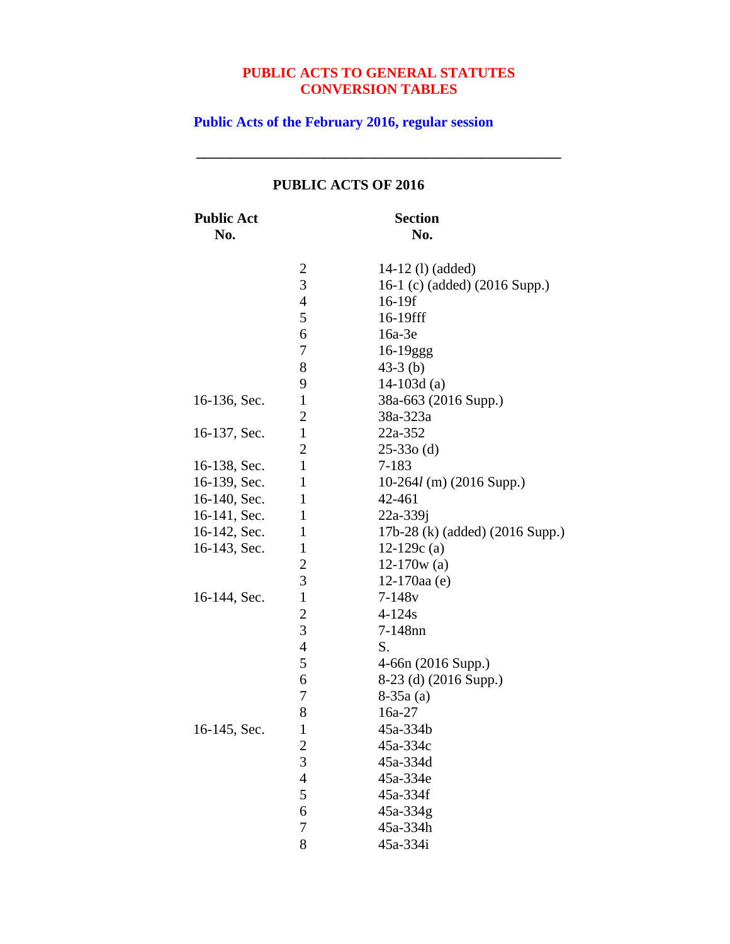**\_\_\_\_\_\_\_\_\_\_\_\_\_\_\_\_\_\_\_\_\_\_\_\_\_\_\_\_\_\_\_\_\_\_\_\_\_\_\_\_\_\_\_\_\_\_\_\_\_\_\_**

**Public Acts of the February 2016, regular session**

| <b>Public Act</b><br>No. |                         | <b>Section</b><br>No.           |
|--------------------------|-------------------------|---------------------------------|
|                          | $\overline{\mathbf{c}}$ | 14-12 (1) (added)               |
|                          | 3                       | 16-1 (c) (added) (2016 Supp.)   |
|                          | $\overline{4}$          | 16-19f                          |
|                          | 5                       | 16-19fff                        |
|                          | 6                       | 16a-3e                          |
|                          | 7                       | $16-19ggg$                      |
|                          | 8                       | $43-3$ (b)                      |
|                          | 9                       | 14-103d $(a)$                   |
| 16-136, Sec.             | $\mathbf{1}$            | 38a-663 (2016 Supp.)            |
|                          | 2                       | 38a-323a                        |
| 16-137, Sec.             | $\mathbf{1}$            | 22a-352                         |
|                          | $\overline{2}$          | $25-330$ (d)                    |
| 16-138, Sec.             | $\mathbf{1}$            | $7 - 183$                       |
| 16-139, Sec.             | $\mathbf{1}$            | $10-264l$ (m) (2016 Supp.)      |
| 16-140, Sec.             | $\mathbf{1}$            | 42-461                          |
| 16-141, Sec.             | $\mathbf{1}$            | 22a-339j                        |
| 16-142, Sec.             | $\mathbf{1}$            | 17b-28 (k) (added) (2016 Supp.) |
| 16-143, Sec.             | $\mathbf{1}$            | 12-129 $c(a)$                   |
|                          | $\mathbf{2}$            | $12-170w$ (a)                   |
|                          | 3                       | $12-170$ aa $(e)$               |
| 16-144, Sec.             | $\mathbf{1}$            | $7 - 148v$                      |
|                          | $\overline{c}$          | $4 - 124s$                      |
|                          | 3                       | 7-148nn                         |
|                          | $\overline{4}$          | S.                              |
|                          | 5                       | 4-66n (2016 Supp.)              |
|                          | 6                       | 8-23 (d) (2016 Supp.)           |
|                          | 7                       | $8-35a(a)$                      |
|                          | 8                       | 16a-27                          |
| 16-145, Sec.             | $\mathbf{1}$            | 45a-334b                        |
|                          | $\overline{c}$          | 45a-334c                        |
|                          | $\overline{3}$          | 45a-334d                        |
|                          | $\overline{4}$          | 45a-334e                        |
|                          | 5                       | 45a-334f                        |
|                          | 6                       | 45a-334g                        |
|                          | 7                       | 45a-334h                        |
|                          | 8                       | 45a-334i                        |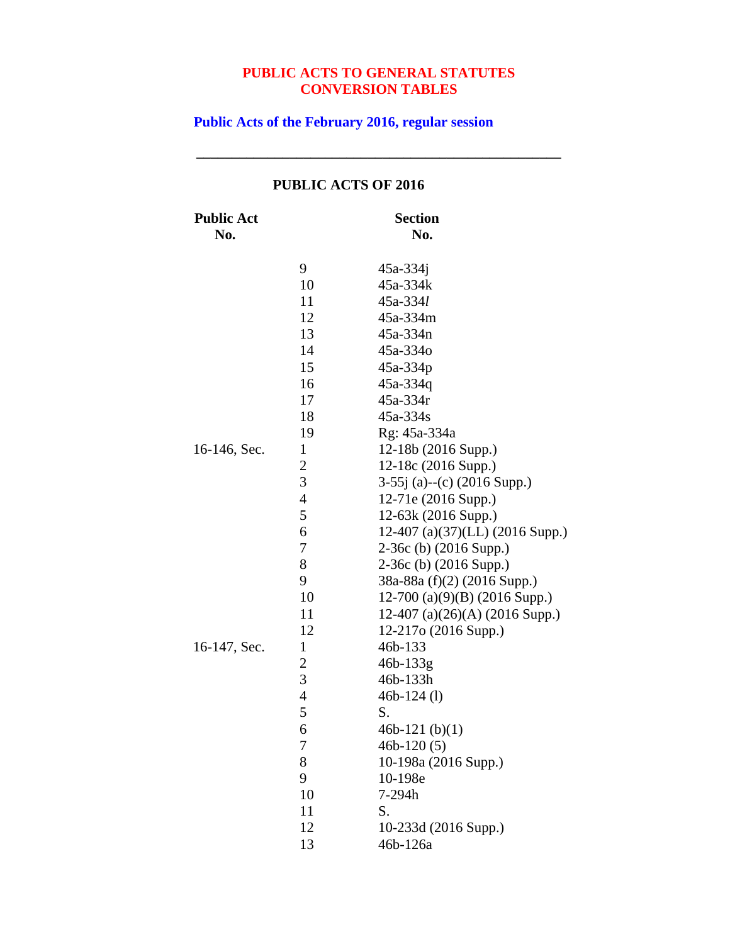**\_\_\_\_\_\_\_\_\_\_\_\_\_\_\_\_\_\_\_\_\_\_\_\_\_\_\_\_\_\_\_\_\_\_\_\_\_\_\_\_\_\_\_\_\_\_\_\_\_\_\_**

**Public Acts of the February 2016, regular session**

| <b>Public Act</b><br>No. |                  | <b>Section</b><br>No.             |
|--------------------------|------------------|-----------------------------------|
|                          | 9                | $45a - 334j$                      |
|                          | 10               | 45a-334k                          |
|                          | 11               | $45a - 334l$                      |
|                          | 12               | 45a-334m                          |
|                          | 13               | 45a-334n                          |
|                          | 14               | 45a-334o                          |
|                          | 15               | 45a-334p                          |
|                          | 16               | 45a-334q                          |
|                          | 17               | 45a-334r                          |
|                          | 18               | 45a-334s                          |
|                          | 19               | Rg: 45a-334a                      |
| 16-146, Sec.             | $\mathbf{1}$     | 12-18b (2016 Supp.)               |
|                          | $\boldsymbol{2}$ | 12-18c (2016 Supp.)               |
|                          | $\overline{3}$   | $3-55j$ (a)--(c) (2016 Supp.)     |
|                          | $\overline{4}$   | 12-71e (2016 Supp.)               |
|                          | 5                | 12-63k (2016 Supp.)               |
|                          | 6                | 12-407 (a)(37)(LL) (2016 Supp.)   |
|                          | 7                | $2-36c$ (b) $(2016$ Supp.)        |
|                          | 8                | $2-36c$ (b) $(2016$ Supp.)        |
|                          | 9                | 38a-88a (f)(2) (2016 Supp.)       |
|                          | 10               | $12-700$ (a)(9)(B) (2016 Supp.)   |
|                          | 11               | 12-407 (a) $(26)(A)$ (2016 Supp.) |
|                          | 12               | 12-217o (2016 Supp.)              |
| 16-147, Sec.             | $\mathbf{1}$     | 46b-133                           |
|                          | $\boldsymbol{2}$ | 46b-133g                          |
|                          | 3                | 46b-133h                          |
|                          | $\overline{4}$   | $46b-124$ (1)                     |
|                          | 5                | S.                                |
|                          | 6                | 46b-121 $(b)(1)$                  |
|                          | 7                | $46b-120(5)$                      |
|                          | 8                | 10-198a (2016 Supp.)              |
|                          | 9                | 10-198e                           |
|                          | 10               | 7-294h                            |
|                          | 11               | S.                                |
|                          | 12               | 10-233d (2016 Supp.)              |
|                          | 13               | 46b-126a                          |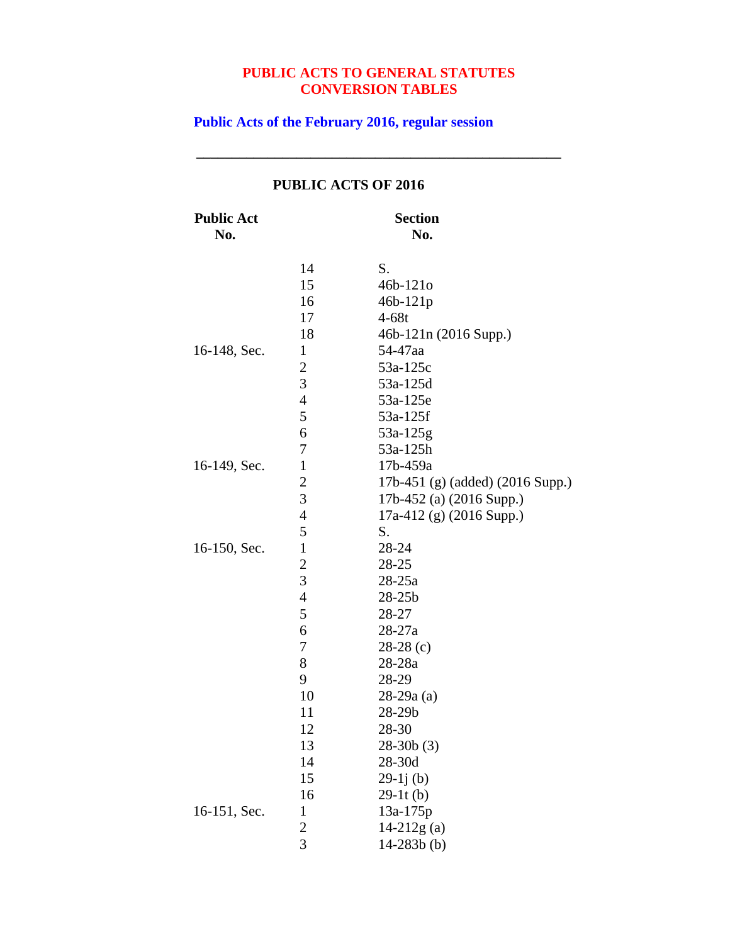**\_\_\_\_\_\_\_\_\_\_\_\_\_\_\_\_\_\_\_\_\_\_\_\_\_\_\_\_\_\_\_\_\_\_\_\_\_\_\_\_\_\_\_\_\_\_\_\_\_\_\_**

**Public Acts of the February 2016, regular session**

| <b>Public Act</b><br>No. |                | <b>Section</b><br>No.            |
|--------------------------|----------------|----------------------------------|
|                          | 14             | S.                               |
|                          | 15             | $46b-121o$                       |
|                          | 16             | $46b - 121p$                     |
|                          | 17             | $4-68t$                          |
|                          | 18             | 46b-121n (2016 Supp.)            |
| 16-148, Sec.             | $\mathbf{1}$   | 54-47aa                          |
|                          | $\overline{c}$ | 53a-125c                         |
|                          | 3              | 53a-125d                         |
|                          | $\overline{4}$ | 53a-125e                         |
|                          | 5              | 53a-125f                         |
|                          | 6              | 53a-125g                         |
|                          | 7              | 53a-125h                         |
| 16-149, Sec.             | $\mathbf{1}$   | 17b-459a                         |
|                          | $\overline{c}$ | 17b-451 (g) (added) (2016 Supp.) |
|                          | 3              | 17b-452 (a) (2016 Supp.)         |
|                          | $\overline{4}$ | $17a-412$ (g) (2016 Supp.)       |
|                          | 5              | S.                               |
| 16-150, Sec.             | $\mathbf{1}$   | 28-24                            |
|                          | $\overline{c}$ | 28-25                            |
|                          | 3              | $28 - 25a$                       |
|                          | $\overline{4}$ | $28 - 25b$                       |
|                          | 5              | 28-27                            |
|                          | 6              | $28 - 27a$                       |
|                          | 7              | $28-28$ (c)                      |
|                          | 8              | 28-28a                           |
|                          | 9              | 28-29                            |
|                          | 10             | $28-29a(a)$                      |
|                          | 11             | 28-29b                           |
|                          | 12             | 28-30                            |
|                          | 13             | $28-30b(3)$                      |
|                          | 14             | 28-30d                           |
|                          | 15             | $29-1j(b)$                       |
|                          | 16             | $29-11(b)$                       |
| 16-151, Sec.             | $\mathbf{1}$   | $13a-175p$                       |
|                          | $\overline{c}$ | $14-212g(a)$                     |
|                          | 3              | $14 - 283b$ (b)                  |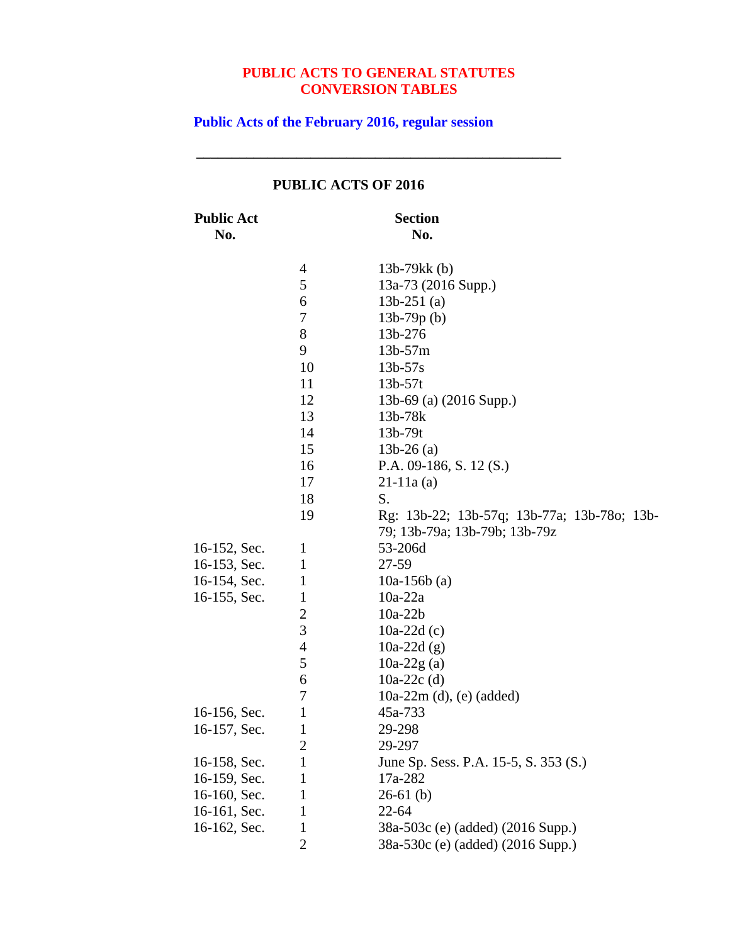**\_\_\_\_\_\_\_\_\_\_\_\_\_\_\_\_\_\_\_\_\_\_\_\_\_\_\_\_\_\_\_\_\_\_\_\_\_\_\_\_\_\_\_\_\_\_\_\_\_\_\_**

**Public Acts of the February 2016, regular session**

|                          |                | I ODLIC ACTS OF 2010                                                         |
|--------------------------|----------------|------------------------------------------------------------------------------|
| <b>Public Act</b><br>No. |                | <b>Section</b><br>No.                                                        |
|                          | 4              | 13b-79 $kk$ (b)                                                              |
|                          | 5              | 13a-73 (2016 Supp.)                                                          |
|                          | 6              | $13b-251$ (a)                                                                |
|                          | 7              | $13b-79p(b)$                                                                 |
|                          | 8              | 13b-276                                                                      |
|                          | 9              | $13b - 57m$                                                                  |
|                          | 10             | $13b - 57s$                                                                  |
|                          | 11             | $13b-57t$                                                                    |
|                          | 12             | 13b-69 (a) (2016 Supp.)                                                      |
|                          | 13             | 13b-78k                                                                      |
|                          | 14             | 13b-79t                                                                      |
|                          | 15             | $13b-26$ (a)                                                                 |
|                          | 16             | P.A. $09-186$ , S. $12(S.)$                                                  |
|                          | 17             | $21-11a(a)$                                                                  |
|                          | 18             | S.                                                                           |
|                          | 19             | Rg: 13b-22; 13b-57q; 13b-77a; 13b-78o; 13b-<br>79; 13b-79a; 13b-79b; 13b-79z |
| 16-152, Sec.             | $\mathbf{1}$   | 53-206d                                                                      |
| 16-153, Sec.             | $\mathbf{1}$   | 27-59                                                                        |
| 16-154, Sec.             | $\mathbf{1}$   | 10a-156b $(a)$                                                               |
| 16-155, Sec.             | $\mathbf{1}$   | $10a-22a$                                                                    |
|                          | $\overline{c}$ | $10a-22b$                                                                    |
|                          | 3              | 10a-22d $(c)$                                                                |
|                          | 4              | 10a-22d $(g)$                                                                |
|                          | 5              | $10a-22g(a)$                                                                 |
|                          | 6              | 10a-22 $c$ (d)                                                               |
|                          | 7              | $10a-22m$ (d), (e) (added)                                                   |
| 16-156, Sec.             | $\mathbf{1}$   | 45a-733                                                                      |
| 16-157, Sec.             | $\mathbf{1}$   | 29-298                                                                       |
|                          | $\overline{c}$ | 29-297                                                                       |
| 16-158, Sec.             | $\mathbf{1}$   | June Sp. Sess. P.A. 15-5, S. 353 (S.)                                        |
| 16-159, Sec.             | 1              | 17a-282                                                                      |
| 16-160, Sec.             | 1              | $26-61$ (b)                                                                  |
| 16-161, Sec.             | 1              | $22 - 64$                                                                    |
| 16-162, Sec.             | $\mathbf{1}$   | 38a-503c (e) (added) (2016 Supp.)                                            |
|                          | 2              | 38a-530c (e) (added) (2016 Supp.)                                            |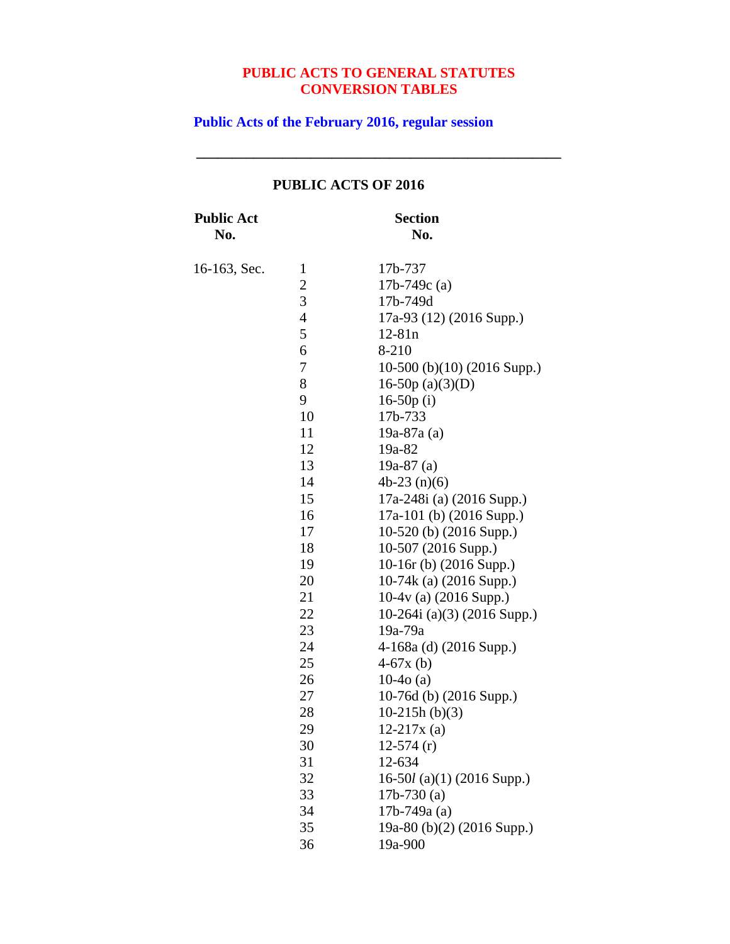**\_\_\_\_\_\_\_\_\_\_\_\_\_\_\_\_\_\_\_\_\_\_\_\_\_\_\_\_\_\_\_\_\_\_\_\_\_\_\_\_\_\_\_\_\_\_\_\_\_\_\_**

**Public Acts of the February 2016, regular session**

| <b>Public Act</b><br>No. |                | <b>Section</b><br>No.       |
|--------------------------|----------------|-----------------------------|
| 16-163, Sec.             | 1              | 17b-737                     |
|                          | $\overline{c}$ | 17b-749 $c$ (a)             |
|                          | 3              | 17b-749d                    |
|                          | $\overline{4}$ | 17a-93 (12) (2016 Supp.)    |
|                          | 5              | $12 - 81n$                  |
|                          | 6              | 8-210                       |
|                          | 7              | 10-500 (b)(10) (2016 Supp.) |
|                          | 8              | 16-50 $p(a)(3)(D)$          |
|                          | 9              | 16-50 $p(i)$                |
|                          | 10             | 17b-733                     |
|                          | 11             | $19a-87a(a)$                |
|                          | 12             | 19a-82                      |
|                          | 13             | 19a-87 $(a)$                |
|                          | 14             | $4b-23(n)(6)$               |
|                          | 15             | 17a-248i (a) (2016 Supp.)   |
|                          | 16             | 17a-101 (b) (2016 Supp.)    |
|                          | 17             | $10-520$ (b) $(2016$ Supp.) |
|                          | 18             | 10-507 (2016 Supp.)         |
|                          | 19             | 10-16r (b) (2016 Supp.)     |
|                          | 20             | 10-74k (a) (2016 Supp.)     |
|                          | 21             | $10-4v$ (a) (2016 Supp.)    |
|                          | 22             | 10-264i (a)(3) (2016 Supp.) |
|                          | 23             | 19a-79a                     |
|                          | 24             | $4-168a$ (d) (2016 Supp.)   |
|                          | 25             | $4-67x(b)$                  |
|                          | 26             | $10-4o(a)$                  |
|                          | 27             | 10-76d (b) $(2016$ Supp.)   |
|                          | 28             | $10-215h (b)(3)$            |
|                          | 29             | $12-217x$ (a)               |
|                          | 30             | $12-574(r)$                 |
|                          | 31             | 12-634                      |
|                          | 32             | 16-50l (a)(1) (2016 Supp.)  |
|                          | 33             | $17b-730$ (a)               |
|                          | 34             | $17b-749a(a)$               |
|                          | 35             | 19a-80 (b)(2) (2016 Supp.)  |
|                          | 36             | 19a-900                     |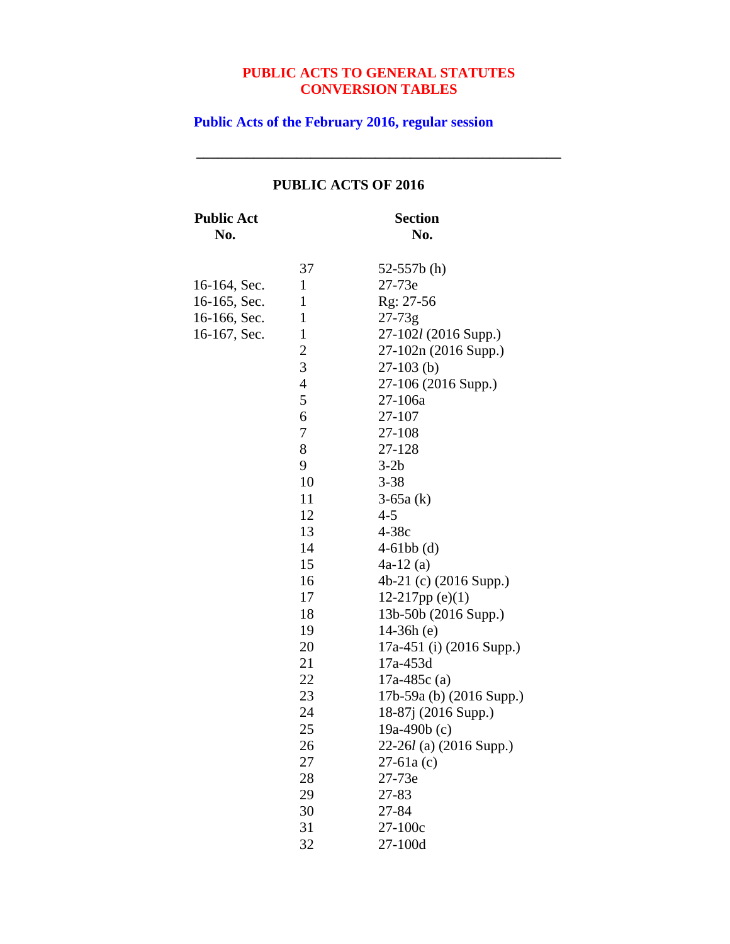**\_\_\_\_\_\_\_\_\_\_\_\_\_\_\_\_\_\_\_\_\_\_\_\_\_\_\_\_\_\_\_\_\_\_\_\_\_\_\_\_\_\_\_\_\_\_\_\_\_\_\_**

**Public Acts of the February 2016, regular session**

| <b>Public Act</b><br>No. |                | <b>Section</b><br>No.     |
|--------------------------|----------------|---------------------------|
|                          | 37             | 52-557 $b(h)$             |
| 16-164, Sec.             | $\mathbf{1}$   | 27-73e                    |
| 16-165, Sec.             | 1              | Rg: 27-56                 |
| 16-166, Sec.             | $\mathbf{1}$   | $27 - 73g$                |
| 16-167, Sec.             | $\mathbf{1}$   | 27-102l (2016 Supp.)      |
|                          | $\overline{c}$ | 27-102n (2016 Supp.)      |
|                          | 3              | $27-103$ (b)              |
|                          | $\overline{4}$ | 27-106 (2016 Supp.)       |
|                          | 5              | 27-106a                   |
|                          | 6              | 27-107                    |
|                          | 7              | 27-108                    |
|                          | 8              | 27-128                    |
|                          | 9              | $3-2b$                    |
|                          | 10             | $3 - 38$                  |
|                          | 11             | $3-65a(k)$                |
|                          | 12             | $4 - 5$                   |
|                          | 13             | $4-38c$                   |
|                          | 14             | $4-61bb$ (d)              |
|                          | 15             | $4a-12(a)$                |
|                          | 16             | 4b-21 (c) (2016 Supp.)    |
|                          | 17             | 12-217pp $(e)(1)$         |
|                          | 18             | 13b-50b (2016 Supp.)      |
|                          | 19             | $14-36h(e)$               |
|                          | 20             | 17a-451 (i) (2016 Supp.)  |
|                          | 21             | 17a-453d                  |
|                          | 22             | 17a-485c $(a)$            |
|                          | 23             | 17b-59a (b) (2016 Supp.)  |
|                          | 24             | 18-87j (2016 Supp.)       |
|                          | 25             | 19a-490b $(c)$            |
|                          | 26             | $22-26l$ (a) (2016 Supp.) |
|                          | 27             | $27-61a(c)$               |
|                          | 28             | 27-73e                    |
|                          | 29             | 27-83                     |
|                          | 30             | 27-84                     |
|                          | 31             | 27-100c                   |
|                          | 32             | 27-100d                   |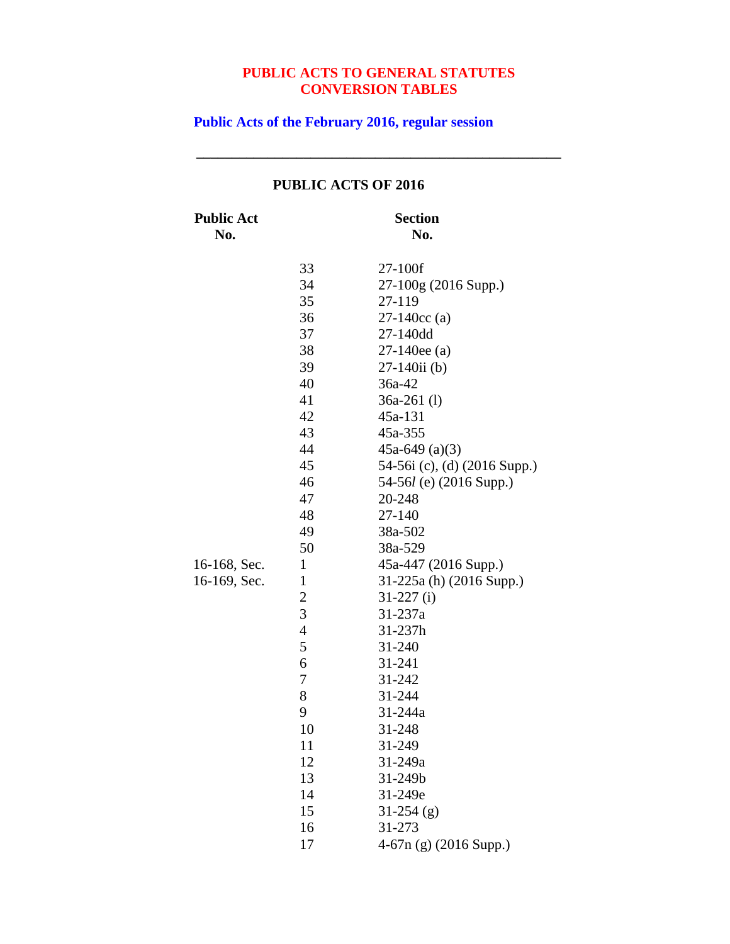**\_\_\_\_\_\_\_\_\_\_\_\_\_\_\_\_\_\_\_\_\_\_\_\_\_\_\_\_\_\_\_\_\_\_\_\_\_\_\_\_\_\_\_\_\_\_\_\_\_\_\_**

**Public Acts of the February 2016, regular session**

| <b>Public Act</b><br>No.     |                                                                                                                                                                                                                                          | <b>Section</b><br>No.                                                                                                                                                                                                                                                                                                                                                                                                                                                                        |
|------------------------------|------------------------------------------------------------------------------------------------------------------------------------------------------------------------------------------------------------------------------------------|----------------------------------------------------------------------------------------------------------------------------------------------------------------------------------------------------------------------------------------------------------------------------------------------------------------------------------------------------------------------------------------------------------------------------------------------------------------------------------------------|
| 16-168, Sec.<br>16-169, Sec. | 33<br>34<br>35<br>36<br>37<br>38<br>39<br>40<br>41<br>42<br>43<br>44<br>45<br>46<br>47<br>48<br>49<br>50<br>$\mathbf{1}$<br>$\mathbf{1}$<br>$\overline{c}$<br>3<br>$\overline{4}$<br>5<br>6<br>7<br>8<br>9<br>10<br>11<br>12<br>13<br>14 | 27-100f<br>27-100g (2016 Supp.)<br>27-119<br>$27-140cc$ (a)<br>27-140dd<br>$27-140$ ee (a)<br>$27-140$ ii (b)<br>36a-42<br>$36a-261$ (l)<br>45a-131<br>45a-355<br>45a-649 $(a)(3)$<br>54-56i (c), (d) (2016 Supp.)<br>54-56 $l$ (e) (2016 Supp.)<br>20-248<br>27-140<br>38a-502<br>38a-529<br>45a-447 (2016 Supp.)<br>31-225a (h) (2016 Supp.)<br>$31-227$ (i)<br>31-237a<br>31-237h<br>31-240<br>31-241<br>31-242<br>31-244<br>31-244a<br>31-248<br>31-249<br>31-249a<br>31-249b<br>31-249e |
|                              | 15<br>16<br>17                                                                                                                                                                                                                           | $31-254$ (g)<br>31-273<br>$4-67n$ (g) (2016 Supp.)                                                                                                                                                                                                                                                                                                                                                                                                                                           |
|                              |                                                                                                                                                                                                                                          |                                                                                                                                                                                                                                                                                                                                                                                                                                                                                              |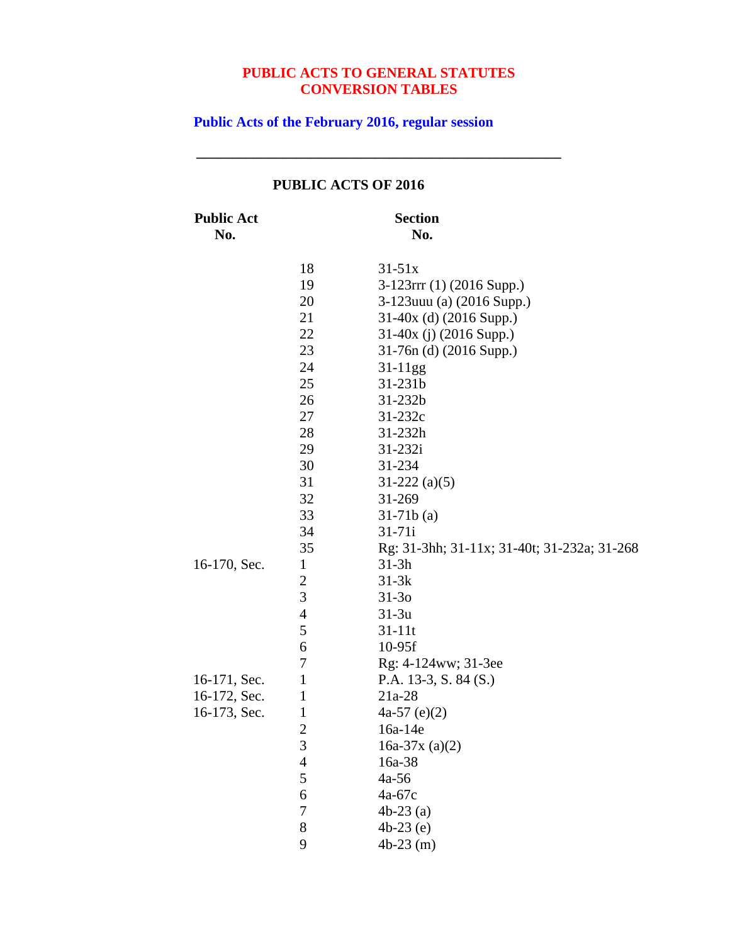**\_\_\_\_\_\_\_\_\_\_\_\_\_\_\_\_\_\_\_\_\_\_\_\_\_\_\_\_\_\_\_\_\_\_\_\_\_\_\_\_\_\_\_\_\_\_\_\_\_\_\_**

**Public Acts of the February 2016, regular session**

|                          |                | I UDLIU AU 19 UF 4010                       |
|--------------------------|----------------|---------------------------------------------|
| <b>Public Act</b><br>No. |                | <b>Section</b><br>No.                       |
|                          | 18             | $31 - 51x$                                  |
|                          | 19             | $3-123$ rrr (1) (2016 Supp.)                |
|                          | 20             | 3-123 uuu (a) (2016 Supp.)                  |
|                          | 21             | 31-40x (d) (2016 Supp.)                     |
|                          | 22             | 31-40x (j) (2016 Supp.)                     |
|                          | 23             | 31-76n (d) (2016 Supp.)                     |
|                          | 24             | $31-11gg$                                   |
|                          | 25             | 31-231b                                     |
|                          | 26             | $31 - 232b$                                 |
|                          | 27             | $31 - 232c$                                 |
|                          | 28             | $31 - 232h$                                 |
|                          | 29             | 31-232i                                     |
|                          | 30             | 31-234                                      |
|                          | 31             | $31-222$ (a)(5)                             |
|                          | 32             | 31-269                                      |
|                          | 33             | $31-71b(a)$                                 |
|                          | 34             | $31 - 71i$                                  |
|                          | 35             | Rg: 31-3hh; 31-11x; 31-40t; 31-232a; 31-268 |
| 16-170, Sec.             | $\mathbf{1}$   | $31-3h$                                     |
|                          | $\overline{c}$ | $31-3k$                                     |
|                          | 3              | $31-30$                                     |
|                          | $\overline{4}$ | $31-3u$                                     |
|                          | 5              | $31 - 11t$                                  |
|                          | 6              | $10-95f$                                    |
|                          | 7              | Rg: 4-124ww; 31-3ee                         |
| 16-171, Sec.             | $\mathbf{1}$   | P.A. $13-3$ , S. 84 (S.)                    |
| 16-172, Sec.             | $\mathbf{1}$   | $21a-28$                                    |
| 16-173, Sec.             | 1              | $4a-57$ (e)(2)                              |
|                          | $\overline{c}$ | 16a-14e                                     |
|                          | $\overline{3}$ | 16a-37x (a)(2)                              |
|                          | 4              | 16a-38                                      |
|                          | 5              | $4a-56$                                     |
|                          | 6              | 4a-67c                                      |
|                          | 7              | $4b-23$ (a)                                 |
|                          | 8              | $4b-23$ (e)                                 |
|                          | 9              | $4b-23$ (m)                                 |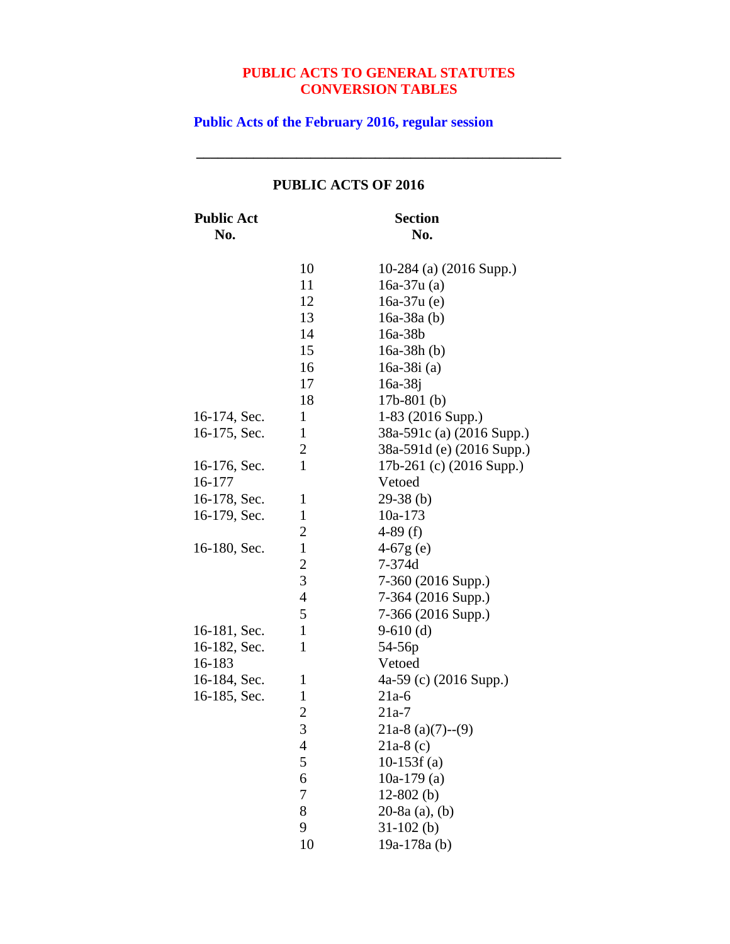**\_\_\_\_\_\_\_\_\_\_\_\_\_\_\_\_\_\_\_\_\_\_\_\_\_\_\_\_\_\_\_\_\_\_\_\_\_\_\_\_\_\_\_\_\_\_\_\_\_\_\_**

**Public Acts of the February 2016, regular session**

| <b>Public Act</b><br>No. |                         | <b>Section</b><br>No.     |
|--------------------------|-------------------------|---------------------------|
|                          | 10                      | 10-284 (a) (2016 Supp.)   |
|                          | 11                      | $16a-37u(a)$              |
|                          | 12                      | $16a-37u(e)$              |
|                          | 13                      | $16a-38a(b)$              |
|                          | 14                      | 16a-38b                   |
|                          | 15                      | $16a-38h(b)$              |
|                          | 16                      | 16a-38i $(a)$             |
|                          | 17                      | $16a-38j$                 |
|                          | 18                      | $17b-801$ (b)             |
| 16-174, Sec.             | $\mathbf{1}$            | 1-83 (2016 Supp.)         |
| 16-175, Sec.             | $\mathbf{1}$            | 38a-591c (a) (2016 Supp.) |
|                          | $\overline{c}$          | 38a-591d (e) (2016 Supp.) |
| 16-176, Sec.             | $\mathbf{1}$            | 17b-261 (c) (2016 Supp.)  |
| 16-177                   |                         | Vetoed                    |
| 16-178, Sec.             | 1                       | $29-38$ (b)               |
| 16-179, Sec.             | $\mathbf{1}$            | 10a-173                   |
|                          | $\overline{c}$          | 4-89 $(f)$                |
| 16-180, Sec.             | $\mathbf{1}$            | $4-67g(e)$                |
|                          | $\overline{\mathbf{c}}$ | 7-374d                    |
|                          | 3                       | 7-360 (2016 Supp.)        |
|                          | $\overline{4}$          | 7-364 (2016 Supp.)        |
|                          | 5                       | 7-366 (2016 Supp.)        |
| 16-181, Sec.             | $\mathbf{1}$            | $9-610$ (d)               |
| 16-182, Sec.             | $\mathbf{1}$            | 54-56p                    |
| 16-183                   |                         | Vetoed                    |
| 16-184, Sec.             | 1                       | 4a-59 (c) (2016 Supp.)    |
| 16-185, Sec.             | $\mathbf{1}$            | $21a-6$                   |
|                          | $\overline{2}$          | $21a-7$                   |
|                          | 3                       | $21a-8$ (a)(7)--(9)       |
|                          | 4                       | $21a-8(c)$                |
|                          | 5                       | $10-153f(a)$              |
|                          | 6                       | 10a-179 $(a)$             |
|                          | 7                       | $12-802$ (b)              |
|                          | 8                       | 20-8a (a), (b)            |
|                          | 9                       | $31-102$ (b)              |
|                          | 10                      | 19a-178a (b)              |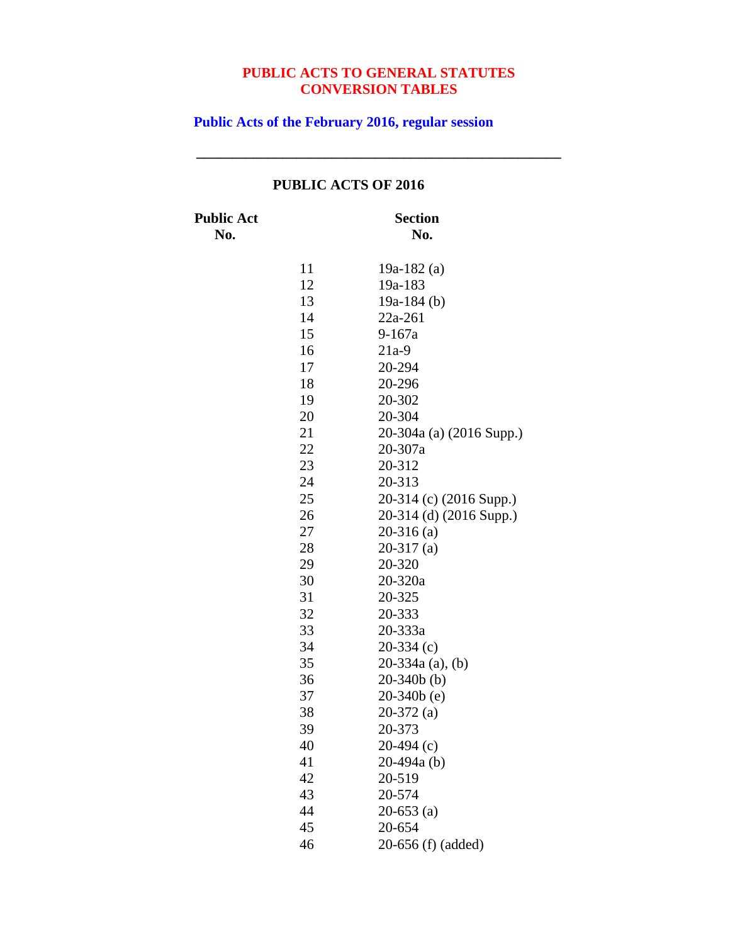**\_\_\_\_\_\_\_\_\_\_\_\_\_\_\_\_\_\_\_\_\_\_\_\_\_\_\_\_\_\_\_\_\_\_\_\_\_\_\_\_\_\_\_\_\_\_\_\_\_\_\_**

**Public Acts of the February 2016, regular session**

| <b>Public Act</b><br>No. | <b>Section</b><br>No. |                          |  |
|--------------------------|-----------------------|--------------------------|--|
|                          | 11                    | 19a-182 $(a)$            |  |
|                          | 12                    | 19a-183                  |  |
|                          | 13                    | 19a-184 $(b)$            |  |
|                          | 14                    | 22a-261                  |  |
|                          | 15                    | $9 - 167a$               |  |
|                          | 16                    | $21a-9$                  |  |
|                          | 17                    | 20-294                   |  |
|                          | 18                    | 20-296                   |  |
|                          | 19                    | 20-302                   |  |
|                          | 20                    | 20-304                   |  |
|                          | 21                    | 20-304a (a) (2016 Supp.) |  |
|                          | 22                    | 20-307a                  |  |
|                          | 23                    | 20-312                   |  |
|                          | 24                    | 20-313                   |  |
|                          | 25                    | 20-314 (c) (2016 Supp.)  |  |
|                          | 26                    | 20-314 (d) (2016 Supp.)  |  |
|                          | 27                    | $20-316$ (a)             |  |
|                          | 28                    | $20-317$ (a)             |  |
|                          | 29                    | 20-320                   |  |
|                          | 30                    | 20-320a                  |  |
|                          | 31                    | 20-325                   |  |
|                          | 32                    | 20-333                   |  |
|                          | 33                    | 20-333a                  |  |
|                          | 34                    | $20-334(c)$              |  |
|                          | 35                    | 20-334a (a), (b)         |  |
|                          | 36                    | $20-340b$ (b)            |  |
|                          | 37                    | $20-340b$ (e)            |  |
|                          | 38                    | $20-372$ (a)             |  |
|                          | 39                    | 20-373                   |  |
|                          | 40                    | $20-494$ (c)             |  |
|                          | 41                    | $20-494a(b)$             |  |
|                          | 42                    | 20-519                   |  |
|                          | 43                    | 20-574                   |  |
|                          | 44                    | $20-653$ (a)             |  |
|                          | 45                    | 20-654                   |  |
|                          | 46                    | 20-656 (f) (added)       |  |

# **PUBLIC ACTS OF 2016**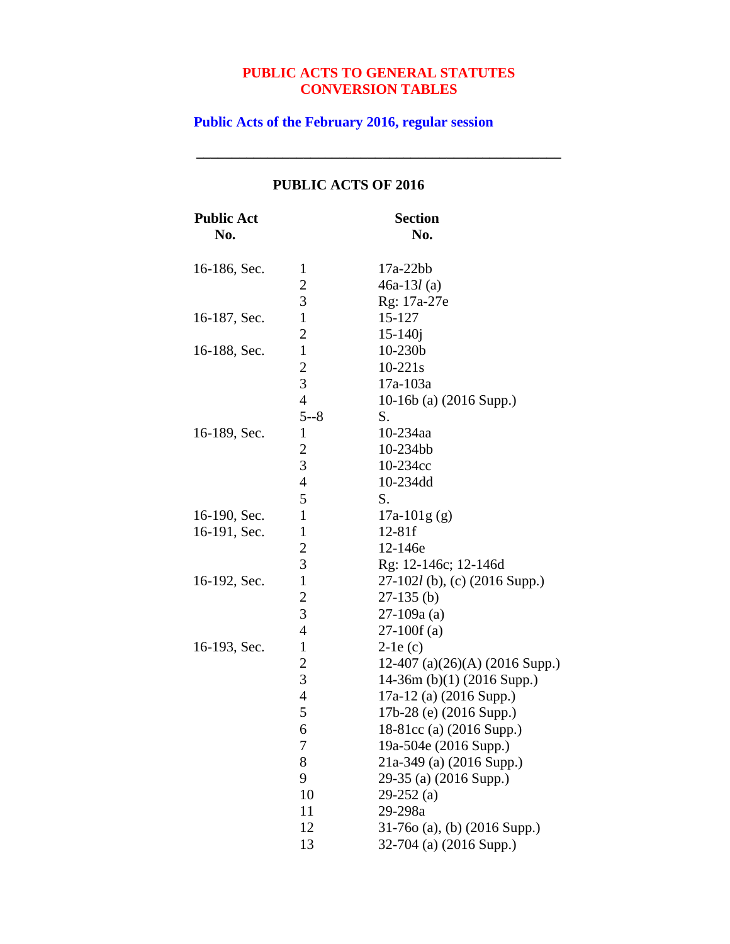**\_\_\_\_\_\_\_\_\_\_\_\_\_\_\_\_\_\_\_\_\_\_\_\_\_\_\_\_\_\_\_\_\_\_\_\_\_\_\_\_\_\_\_\_\_\_\_\_\_\_\_**

**Public Acts of the February 2016, regular session**

| <b>Public Act</b><br>No. |                         | <b>Section</b><br>No.             |
|--------------------------|-------------------------|-----------------------------------|
| 16-186, Sec.             | $\mathbf{1}$            | $17a-22bb$                        |
|                          | $\overline{\mathbf{c}}$ | $46a-13l(a)$                      |
|                          | 3                       | Rg: 17a-27e                       |
| 16-187, Sec.             | $\mathbf{1}$            | 15-127                            |
|                          | $\overline{2}$          | $15 - 140j$                       |
| 16-188, Sec.             | $\mathbf{1}$            | $10-230b$                         |
|                          | $\overline{c}$          | $10 - 221s$                       |
|                          | 3                       | 17a-103a                          |
|                          | $\overline{4}$          | 10-16b (a) $(2016$ Supp.)         |
|                          | $5 - 8$                 | S.                                |
| 16-189, Sec.             | $\mathbf{1}$            | 10-234aa                          |
|                          | $\overline{c}$          | 10-234bb                          |
|                          | 3                       | 10-234cc                          |
|                          | $\overline{4}$          | 10-234dd                          |
|                          | 5                       | S.                                |
| 16-190, Sec.             | $\mathbf{1}$            | $17a-101g(g)$                     |
| 16-191, Sec.             | $\mathbf{1}$            | $12 - 81f$                        |
|                          | $\overline{2}$          | 12-146e                           |
|                          | 3                       | Rg: 12-146c; 12-146d              |
| 16-192, Sec.             | $\mathbf{1}$            | 27-102l (b), (c) (2016 Supp.)     |
|                          | $\overline{c}$          | $27-135$ (b)                      |
|                          | 3                       | $27-109a(a)$                      |
|                          | $\overline{4}$          | $27-100f(a)$                      |
| 16-193, Sec.             | $\mathbf{1}$            | $2-1e(c)$                         |
|                          | $\overline{2}$          | 12-407 (a) $(26)(A)$ (2016 Supp.) |
|                          | 3                       | 14-36m (b)(1) (2016 Supp.)        |
|                          | $\overline{4}$          | 17a-12 (a) (2016 Supp.)           |
|                          | 5                       | 17b-28 (e) (2016 Supp.)           |
|                          | 6                       | 18-81cc (a) (2016 Supp.)          |
|                          | 7                       | 19a-504e (2016 Supp.)             |
|                          | 8                       | 21a-349 (a) (2016 Supp.)          |
|                          | 9                       | 29-35 (a) (2016 Supp.)            |
|                          | 10                      | $29-252$ (a)                      |
|                          | 11                      | 29-298a                           |
|                          | 12                      | $31-760$ (a), (b) (2016 Supp.)    |
|                          | 13                      | 32-704 (a) (2016 Supp.)           |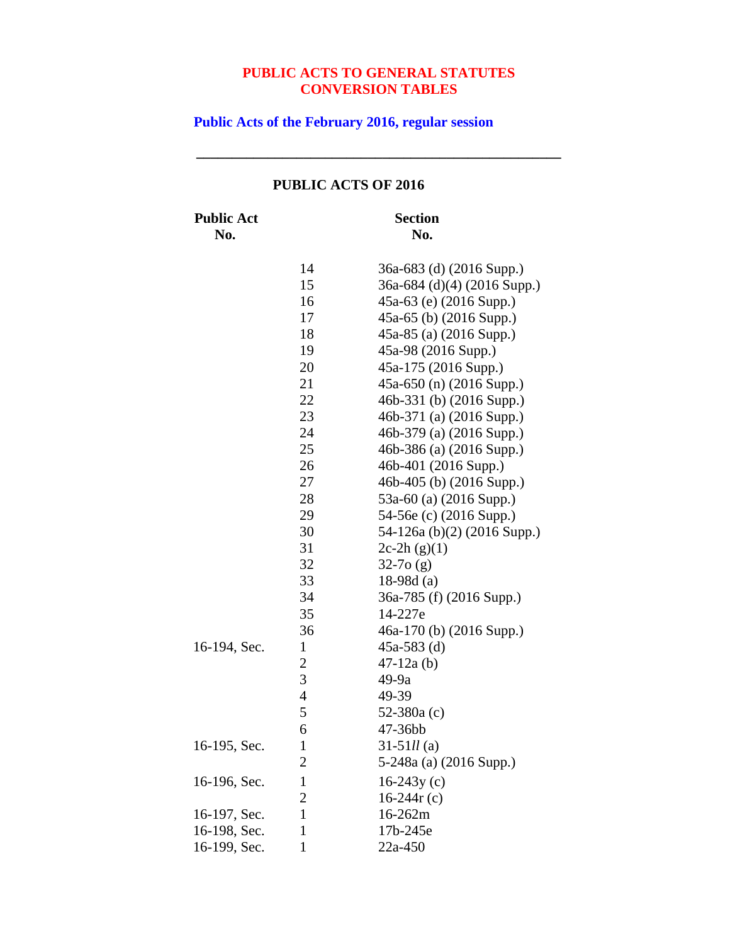**\_\_\_\_\_\_\_\_\_\_\_\_\_\_\_\_\_\_\_\_\_\_\_\_\_\_\_\_\_\_\_\_\_\_\_\_\_\_\_\_\_\_\_\_\_\_\_\_\_\_\_**

**Public Acts of the February 2016, regular session**

|  | <b>PUBLIC ACTS OF 2016</b> |  |
|--|----------------------------|--|
|  |                            |  |

**Public Act Section**

**No. No.** 36a-683 (d) (2016 Supp.) 36a-684 (d)(4) (2016 Supp.) 45a-63 (e) (2016 Supp.) 45a-65 (b) (2016 Supp.) 45a-85 (a) (2016 Supp.) 45a-98 (2016 Supp.) 45a-175 (2016 Supp.) 45a-650 (n) (2016 Supp.) 46b-331 (b) (2016 Supp.) 46b-371 (a) (2016 Supp.) 46b-379 (a) (2016 Supp.) 46b-386 (a) (2016 Supp.) 46b-401 (2016 Supp.) 46b-405 (b) (2016 Supp.) 53a-60 (a) (2016 Supp.) 54-56e (c) (2016 Supp.) 54-126a (b)(2) (2016 Supp.)  $2c-2h(g)(1)$  32-7o (g) 18-98d (a) 36a-785 (f) (2016 Supp.) 14-227e 46a-170 (b) (2016 Supp.) 16-194, Sec. 1 45a-583 (d) 47-12a (b) 49-9a 49-39 52-380a (c) 47-36bb 16-195, Sec. 1 31-51*ll* (a) 5-248a (a) (2016 Supp.) 16-196, Sec.  $1^{6}$  16-243y (c)  $16-244r(c)$ 16-197, Sec. 1 16-262m

16-198, Sec. 1 17b-245e 16-199, Sec. 1 22a-450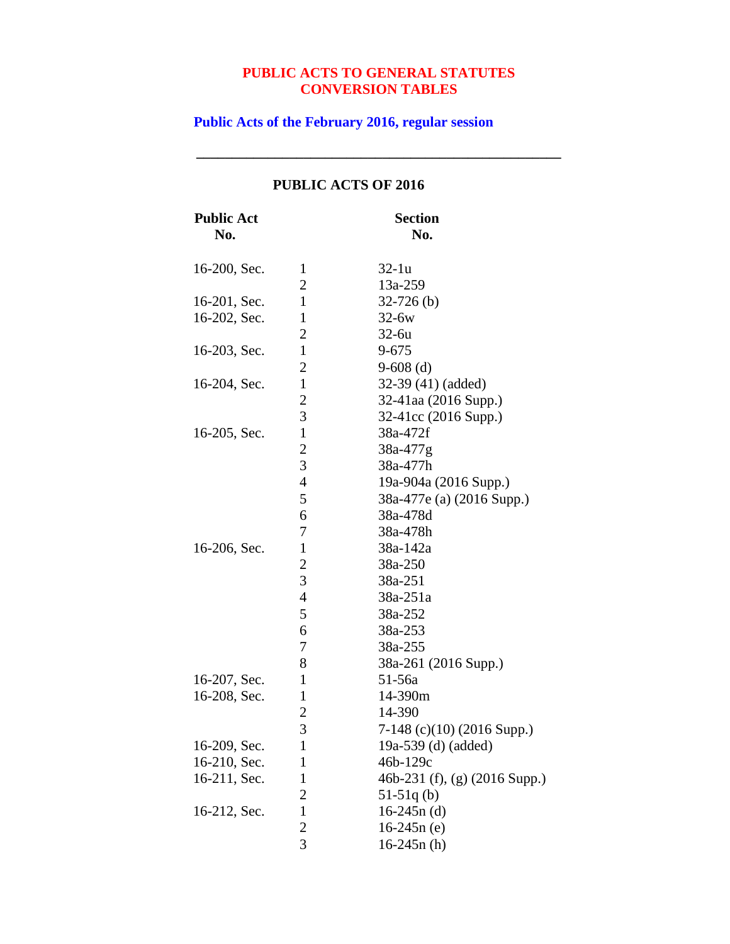**\_\_\_\_\_\_\_\_\_\_\_\_\_\_\_\_\_\_\_\_\_\_\_\_\_\_\_\_\_\_\_\_\_\_\_\_\_\_\_\_\_\_\_\_\_\_\_\_\_\_\_**

**Public Acts of the February 2016, regular session**

| <b>Public Act</b><br>No. |                | <b>Section</b><br>No.         |
|--------------------------|----------------|-------------------------------|
| 16-200, Sec.             | 1              | $32-1u$                       |
|                          | 2              | 13a-259                       |
| 16-201, Sec.             | $\mathbf{1}$   | $32-726$ (b)                  |
| 16-202, Sec.             | $\mathbf{1}$   | $32-6w$                       |
|                          | $\overline{2}$ | $32-6u$                       |
| 16-203, Sec.             | $\mathbf{1}$   | $9 - 675$                     |
|                          | 2              | $9-608$ (d)                   |
| 16-204, Sec.             | $\mathbf{1}$   | 32-39 (41) (added)            |
|                          | $\overline{c}$ | 32-41aa (2016 Supp.)          |
|                          | 3              | 32-41cc (2016 Supp.)          |
| 16-205, Sec.             | $\mathbf{1}$   | 38a-472f                      |
|                          | $\overline{2}$ | 38a-477g                      |
|                          | 3              | 38a-477h                      |
|                          | $\overline{4}$ | 19a-904a (2016 Supp.)         |
|                          | 5              | 38a-477e (a) (2016 Supp.)     |
|                          | 6              | 38a-478d                      |
|                          | 7              | 38a-478h                      |
| 16-206, Sec.             | $\mathbf{1}$   | 38a-142a                      |
|                          | $\overline{c}$ | 38a-250                       |
|                          | 3              | 38a-251                       |
|                          | $\overline{4}$ | 38a-251a                      |
|                          | 5              | 38a-252                       |
|                          | 6              | 38a-253                       |
|                          | 7              | 38a-255                       |
|                          | 8              | 38a-261 (2016 Supp.)          |
| 16-207, Sec.             | 1              | 51-56a                        |
| 16-208, Sec.             | $\mathbf{1}$   | 14-390m                       |
|                          | $\overline{c}$ | 14-390                        |
|                          | 3              | 7-148 (c)(10) (2016 Supp.)    |
| 16-209, Sec.             | 1              | 19a-539 (d) (added)           |
| 16-210, Sec.             | 1              | 46b-129c                      |
| 16-211, Sec.             | $\mathbf{1}$   | 46b-231 (f), (g) (2016 Supp.) |
|                          | $\overline{c}$ | $51-51q$ (b)                  |
| 16-212, Sec.             | $\mathbf{1}$   | $16-245n$ (d)                 |
|                          | $\overline{c}$ | $16-245n(e)$                  |
|                          | $\overline{3}$ | $16-245n(h)$                  |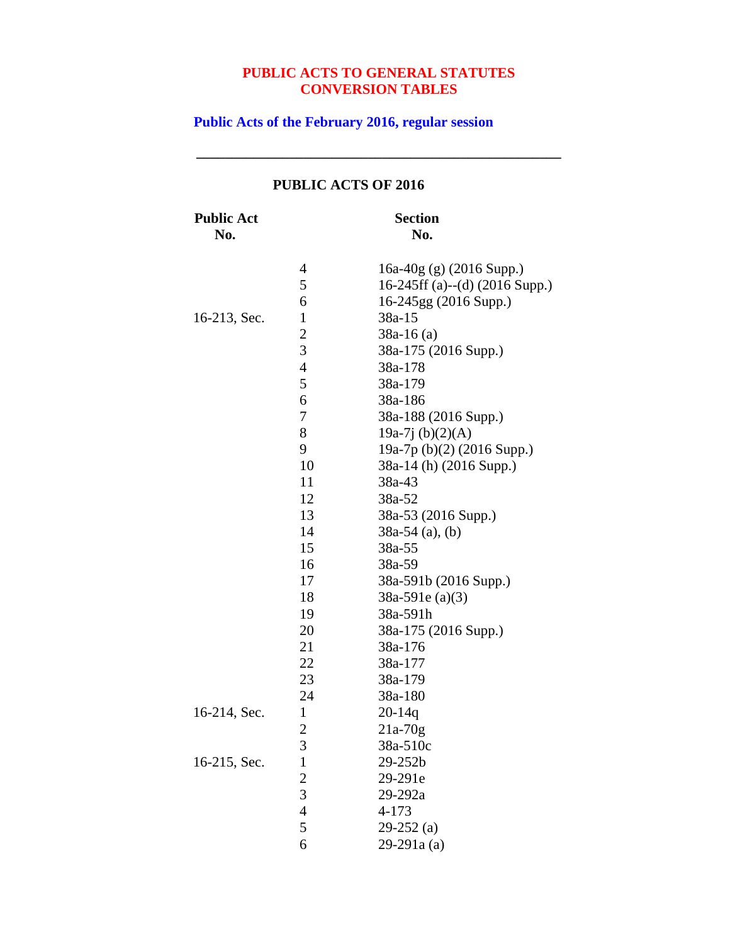**\_\_\_\_\_\_\_\_\_\_\_\_\_\_\_\_\_\_\_\_\_\_\_\_\_\_\_\_\_\_\_\_\_\_\_\_\_\_\_\_\_\_\_\_\_\_\_\_\_\_\_**

**Public Acts of the February 2016, regular session**

| <b>Public Act</b><br>No. | <b>Section</b><br>No. |                                |  |
|--------------------------|-----------------------|--------------------------------|--|
|                          | 4                     | $16a-40g$ (g) (2016 Supp.)     |  |
|                          | 5                     | 16-245ff (a)--(d) (2016 Supp.) |  |
|                          | 6                     | 16-245gg (2016 Supp.)          |  |
| 16-213, Sec.             | $\mathbf{1}$          | 38a-15                         |  |
|                          | $\overline{c}$        | $38a-16$ (a)                   |  |
|                          | 3                     | 38a-175 (2016 Supp.)           |  |
|                          | 4                     | 38a-178                        |  |
|                          | 5                     | 38a-179                        |  |
|                          | 6                     | 38a-186                        |  |
|                          | 7                     | 38a-188 (2016 Supp.)           |  |
|                          | 8                     | 19a-7j $(b)(2)(A)$             |  |
|                          | 9                     | 19a-7p (b)(2) (2016 Supp.)     |  |
|                          | 10                    | 38a-14 (h) (2016 Supp.)        |  |
|                          | 11                    | 38a-43                         |  |
|                          | 12                    | 38a-52                         |  |
|                          | 13                    | 38a-53 (2016 Supp.)            |  |
|                          | 14                    | $38a-54$ (a), (b)              |  |
|                          | 15                    | 38a-55                         |  |
|                          | 16                    | 38a-59                         |  |
|                          | 17                    | 38a-591b (2016 Supp.)          |  |
|                          | 18                    | $38a-591e(a)(3)$               |  |
|                          | 19                    | 38a-591h                       |  |
|                          | 20                    | 38a-175 (2016 Supp.)           |  |
|                          | 21                    | 38a-176                        |  |
|                          | 22                    | 38a-177                        |  |
|                          | 23                    | 38a-179                        |  |
|                          | 24                    | 38a-180                        |  |
| 16-214, Sec.             | $\mathbf{1}$          | $20 - 14q$                     |  |
|                          | $\overline{c}$        | $21a-70g$                      |  |
|                          | 3                     | 38a-510c                       |  |
| 16-215, Sec.             | $\mathbf{1}$          | 29-252b                        |  |
|                          | $\overline{c}$        | 29-291e                        |  |
|                          | 3                     | 29-292a                        |  |
|                          | $\overline{4}$        | 4-173                          |  |
|                          | 5                     | $29-252$ (a)                   |  |
|                          | 6                     | 29-291a (a)                    |  |